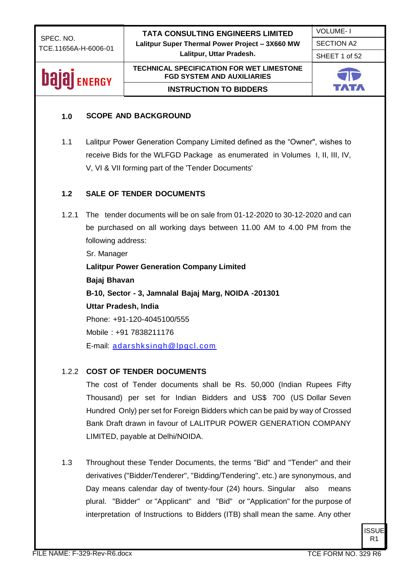SHEET 1 of 52

## **bajaj** ENERGY

**TECHNICAL SPECIFICATION FOR WET LIMESTONE FGD SYSTEM AND AUXILIARIES INSTRUCTION TO BIDDERS**



#### **1.0 SCOPE AND BACKGROUND**

1.1 Lalitpur Power Generation Company Limited defined as the "Owner", wishes to receive Bids for the WLFGD Package as enumerated in Volumes I, II, III, IV, V, VI & VII forming part of the 'Tender Documents'

#### **1.2 SALE OF TENDER DOCUMENTS**

1.2.1 The tender documents will be on sale from 01-12-2020 to 30-12-2020 and can be purchased on all working days between 11.00 AM to 4.00 PM from the following address:

Sr. Manager **Lalitpur Power Generation Company Limited Bajaj Bhavan B-10, Sector - 3, Jamnalal Bajaj Marg, NOIDA -201301 Uttar Pradesh, India** Phone: +91-120-4045100/555 Mobile : +91 7838211176 E-mail: [adarshksingh@lpgcl.com](mailto:adarshksingh@lpgcl.com)

#### 1.2.2 **COST OF TENDER DOCUMENTS**

The cost of Tender documents shall be Rs. 50,000 (Indian Rupees Fifty Thousand) per set for Indian Bidders and US\$ 700 (US Dollar Seven Hundred Only) per set for Foreign Bidders which can be paid by way of Crossed Bank Draft drawn in favour of LALITPUR POWER GENERATION COMPANY LIMITED, payable at Delhi/NOIDA.

1.3 Throughout these Tender Documents, the terms "Bid" and "Tender" and their derivatives ("Bidder/Tenderer", "Bidding/Tendering", etc.) are synonymous, and Day means calendar day of twenty-four (24) hours. Singular also means plural. "Bidder" or "Applicant" and "Bid" or "Application" for the purpose of interpretation of Instructions to Bidders (ITB) shall mean the same. Any other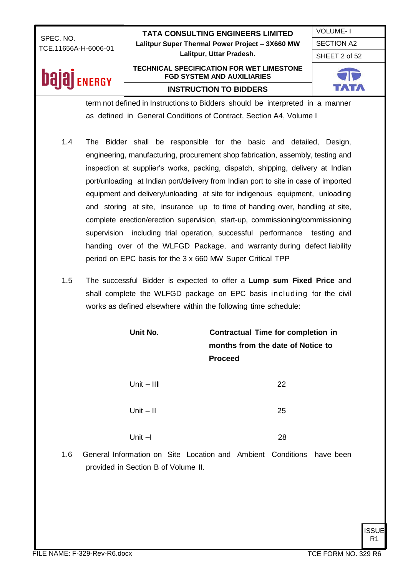**bajaj** ENERGY

**TATA CONSULTING ENGINEERS LIMITED Lalitpur Super Thermal Power Project – 3X660 MW Lalitpur, Uttar Pradesh.**

### **TECHNICAL SPECIFICATION FOR WET LIMESTONE FGD SYSTEM AND AUXILIARIES INSTRUCTION TO BIDDERS**



VOLUME- I SECTION A2 SHEET 2 of 52

term not defined in Instructions to Bidders should be interpreted in a manner as defined in General Conditions of Contract, Section A4, Volume I

- 1.4 The Bidder shall be responsible for the basic and detailed, Design, engineering, manufacturing, procurement shop fabrication, assembly, testing and inspection at supplier's works, packing, dispatch, shipping, delivery at Indian port/unloading at Indian port/delivery from Indian port to site in case of imported equipment and delivery/unloading at site for indigenous equipment, unloading and storing at site, insurance up to time of handing over, handling at site, complete erection/erection supervision, start-up, commissioning/commissioning supervision including trial operation, successful performance testing and handing over of the WLFGD Package, and warranty during defect liability period on EPC basis for the 3 x 660 MW Super Critical TPP
- 1.5 The successful Bidder is expected to offer a **Lump sum Fixed Price** and shall complete the WLFGD package on EPC basis including for the civil works as defined elsewhere within the following time schedule:

|     | Unit No.                                                                                                     | <b>Proceed</b> | <b>Contractual Time for completion in</b><br>months from the date of Notice to |  |
|-----|--------------------------------------------------------------------------------------------------------------|----------------|--------------------------------------------------------------------------------|--|
|     | Unit $-$ III                                                                                                 |                | 22                                                                             |  |
|     | Unit $-$ II                                                                                                  |                | 25                                                                             |  |
|     | Unit $-1$                                                                                                    |                | 28                                                                             |  |
| 1.6 | General Information on Site Location and Ambient Conditions have been<br>provided in Section B of Volume II. |                |                                                                                |  |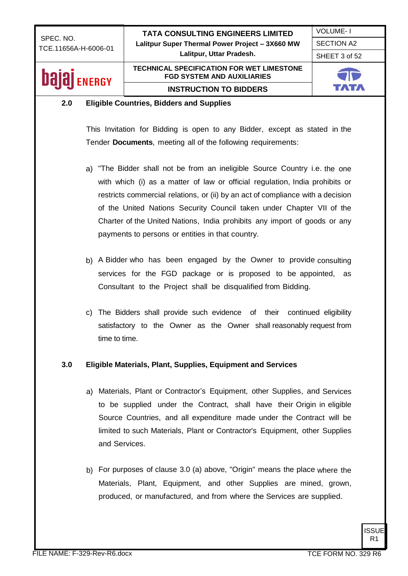VOLUME- I

SECTION A2

SHEET 3 of 52

### bala **ENERGY**

#### **TECHNICAL SPECIFICATION FOR WET LIMESTONE FGD SYSTEM AND AUXILIARIES INSTRUCTION TO BIDDERS**



#### **2.0 Eligible Countries, Bidders and Supplies**

This Invitation for Bidding is open to any Bidder, except as stated in the Tender **Documents**, meeting all of the following requirements:

- a) "The Bidder shall not be from an ineligible Source Country i.e. the one with which (i) as a matter of law or official regulation, India prohibits or restricts commercial relations, or (ii) by an act of compliance with a decision of the United Nations Security Council taken under Chapter VII of the Charter of the United Nations, India prohibits any import of goods or any payments to persons or entities in that country.
- b) A Bidder who has been engaged by the Owner to provide consulting services for the FGD package or is proposed to be appointed, as Consultant to the Project shall be disqualified from Bidding.
- c) The Bidders shall provide such evidence of their continued eligibility satisfactory to the Owner as the Owner shall reasonably request from time to time.

#### **3.0 Eligible Materials, Plant, Supplies, Equipment and Services**

- a) Materials, Plant or Contractor's Equipment, other Supplies, and Services to be supplied under the Contract, shall have their Origin in eligible Source Countries, and all expenditure made under the Contract will be limited to such Materials, Plant or Contractor's Equipment, other Supplies and Services.
- b) For purposes of clause 3.0 (a) above, "Origin" means the place where the Materials, Plant, Equipment, and other Supplies are mined, grown, produced, or manufactured, and from where the Services are supplied.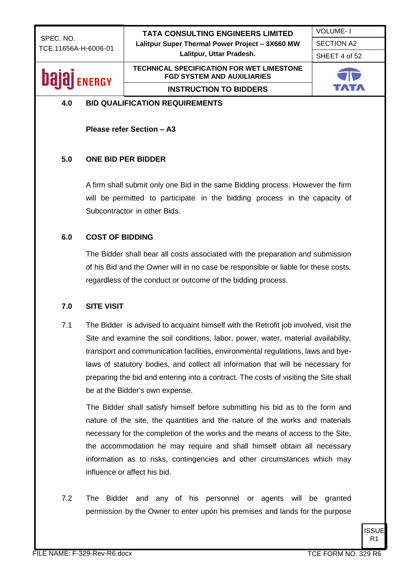SHEET 4 of 52

VOLUME- I SECTION A2

### **Dalal** ENERGY

#### **TECHNICAL SPECIFICATION FOR WET LIMESTONE FGD SYSTEM AND AUXILIARIES INSTRUCTION TO BIDDERS**

#### **4.0 BID QUALIFICATION REQUIREMENTS**

**Please refer Section – A3**

#### **5.0 ONE BID PER BIDDER**

A firm shall submit only one Bid in the same Bidding process. However the firm will be permitted to participate in the bidding process in the capacity of Subcontractor in other Bids.

#### **6.0 COST OF BIDDING**

The Bidder shall bear all costs associated with the preparation and submission of his Bid and the Owner will in no case be responsible or liable for these costs, regardless of the conduct or outcome of the bidding process.

#### **7.0 SITE VISIT**

7.1 The Bidder is advised to acquaint himself with the Retrofit job involved, visit the Site and examine the soil conditions, labor, power, water, material availability, transport and communication facilities, environmental regulations, laws and byelaws of statutory bodies, and collect all information that will be necessary for preparing the bid and entering into a contract. The costs of visiting the Site shall be at the Bidder's own expense.

The Bidder shall satisfy himself before submitting his bid as to the form and nature of the site, the quantities and the nature of the works and materials necessary for the completion of the works and the means of access to the Site, the accommodation he may require and shall himself obtain all necessary information as to risks, contingencies and other circumstances which may influence or affect his bid.

7.2 The Bidder and any of his personnel or agents will be granted permission by the Owner to enter upon his premises and lands for the purpose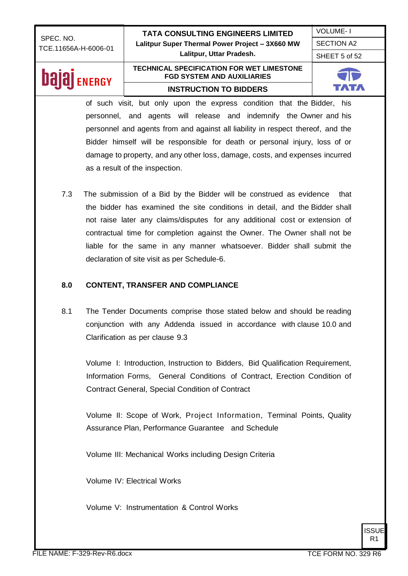VOLUME- I SECTION A2

SHEET 5 of 52

## **bajaj** ENERGY

#### **TECHNICAL SPECIFICATION FOR WET LIMESTONE FGD SYSTEM AND AUXILIARIES INSTRUCTION TO BIDDERS**



of such visit, but only upon the express condition that the Bidder, his personnel, and agents will release and indemnify the Owner and his personnel and agents from and against all liability in respect thereof, and the Bidder himself will be responsible for death or personal injury, loss of or damage to property, and any other loss, damage, costs, and expenses incurred as a result of the inspection.

7.3 The submission of a Bid by the Bidder will be construed as evidence that the bidder has examined the site conditions in detail, and the Bidder shall not raise later any claims/disputes for any additional cost or extension of contractual time for completion against the Owner. The Owner shall not be liable for the same in any manner whatsoever. Bidder shall submit the declaration of site visit as per Schedule-6.

#### **8.0 CONTENT, TRANSFER AND COMPLIANCE**

8.1 The Tender Documents comprise those stated below and should be reading conjunction with any Addenda issued in accordance with clause 10.0 and Clarification as per clause 9.3

Volume I: Introduction, Instruction to Bidders, Bid Qualification Requirement, Information Forms, General Conditions of Contract, Erection Condition of Contract General, Special Condition of Contract

Volume II: Scope of Work, Project Information, Terminal Points, Quality Assurance Plan, Performance Guarantee and Schedule

Volume III: Mechanical Works including Design Criteria

Volume IV: Electrical Works

Volume V: Instrumentation & Control Works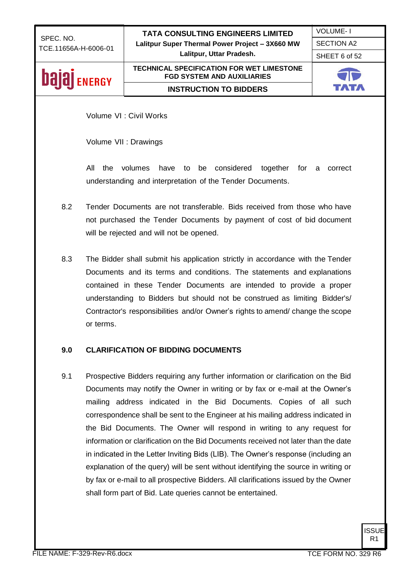VOLUME- I SECTION A2

SHEET 6 of 52

### **bajaj** ENERGY

**TECHNICAL SPECIFICATION FOR WET LIMESTONE FGD SYSTEM AND AUXILIARIES INSTRUCTION TO BIDDERS**



Volume VI : Civil Works

Volume VII : Drawings

All the volumes have to be considered together for a correct understanding and interpretation of the Tender Documents.

- 8.2 Tender Documents are not transferable. Bids received from those who have not purchased the Tender Documents by payment of cost of bid document will be rejected and will not be opened.
- 8.3 The Bidder shall submit his application strictly in accordance with the Tender Documents and its terms and conditions. The statements and explanations contained in these Tender Documents are intended to provide a proper understanding to Bidders but should not be construed as limiting Bidder's/ Contractor's responsibilities and/or Owner's rights to amend/ change the scope or terms.

#### **9.0 CLARIFICATION OF BIDDING DOCUMENTS**

9.1 Prospective Bidders requiring any further information or clarification on the Bid Documents may notify the Owner in writing or by fax or e-mail at the Owner's mailing address indicated in the Bid Documents. Copies of all such correspondence shall be sent to the Engineer at his mailing address indicated in the Bid Documents. The Owner will respond in writing to any request for information or clarification on the Bid Documents received not later than the date in indicated in the Letter Inviting Bids (LIB). The Owner's response (including an explanation of the query) will be sent without identifying the source in writing or by fax or e-mail to all prospective Bidders. All clarifications issued by the Owner shall form part of Bid. Late queries cannot be entertained.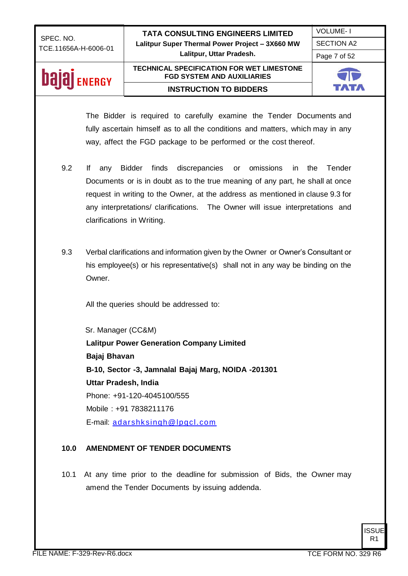VOLUME- I

SECTION A2

Page 7 of 52

### **bajaj** ENERGY

#### **TECHNICAL SPECIFICATION FOR WET LIMESTONE FGD SYSTEM AND AUXILIARIES INSTRUCTION TO BIDDERS**



The Bidder is required to carefully examine the Tender Documents and fully ascertain himself as to all the conditions and matters, which may in any way, affect the FGD package to be performed or the cost thereof.

- 9.2 If any Bidder finds discrepancies or omissions in the Tender Documents or is in doubt as to the true meaning of any part, he shall at once request in writing to the Owner, at the address as mentioned in clause 9.3 for any interpretations/ clarifications. The Owner will issue interpretations and clarifications in Writing.
- 9.3 Verbal clarifications and information given by the Owner or Owner's Consultant or his employee(s) or his representative(s) shall not in any way be binding on the Owner.

All the queries should be addressed to:

 Sr. Manager (CC&M) **Lalitpur Power Generation Company Limited Bajaj Bhavan B-10, Sector -3, Jamnalal Bajaj Marg, NOIDA -201301 Uttar Pradesh, India** Phone: +91-120-4045100/555 Mobile : +91 7838211176 E-mail: [adarshksingh@lpgcl.com](mailto:adarshksingh@lpgcl.com)

#### **10.0 AMENDMENT OF TENDER DOCUMENTS**

10.1 At any time prior to the deadline for submission of Bids, the Owner may amend the Tender Documents by issuing addenda.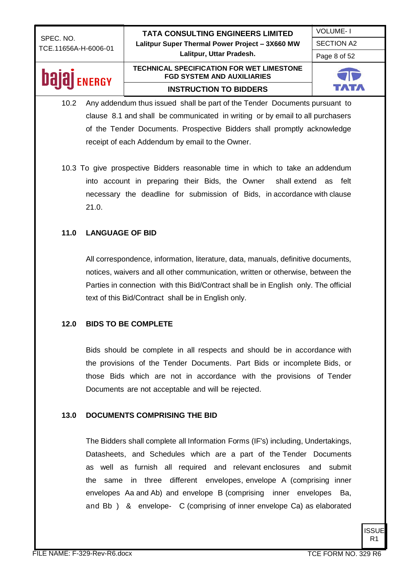VOLUME- I SECTION A2

Page 8 of 52

## **Dajaj** ENERGY

#### **TECHNICAL SPECIFICATION FOR WET LIMESTONE FGD SYSTEM AND AUXILIARIES INSTRUCTION TO BIDDERS**



- 10.2 Any addendum thus issued shall be part of the Tender Documents pursuant to clause 8.1 and shall be communicated in writing or by email to all purchasers of the Tender Documents. Prospective Bidders shall promptly acknowledge receipt of each Addendum by email to the Owner.
- 10.3 To give prospective Bidders reasonable time in which to take an addendum into account in preparing their Bids, the Owner shall extend as felt necessary the deadline for submission of Bids, in accordance with clause 21.0.

#### **11.0 LANGUAGE OF BID**

All correspondence, information, literature, data, manuals, definitive documents, notices, waivers and all other communication, written or otherwise, between the Parties in connection with this Bid/Contract shall be in English only. The official text of this Bid/Contract shall be in English only.

#### **12.0 BIDS TO BE COMPLETE**

Bids should be complete in all respects and should be in accordance with the provisions of the Tender Documents. Part Bids or incomplete Bids, or those Bids which are not in accordance with the provisions of Tender Documents are not acceptable and will be rejected.

#### **13.0 DOCUMENTS COMPRISING THE BID**

The Bidders shall complete all Information Forms (IF's) including, Undertakings, Datasheets, and Schedules which are a part of the Tender Documents as well as furnish all required and relevant enclosures and submit the same in three different envelopes, envelope A (comprising inner envelopes Aa and Ab) and envelope B (comprising inner envelopes Ba, and Bb ) & envelope- C (comprising of inner envelope Ca) as elaborated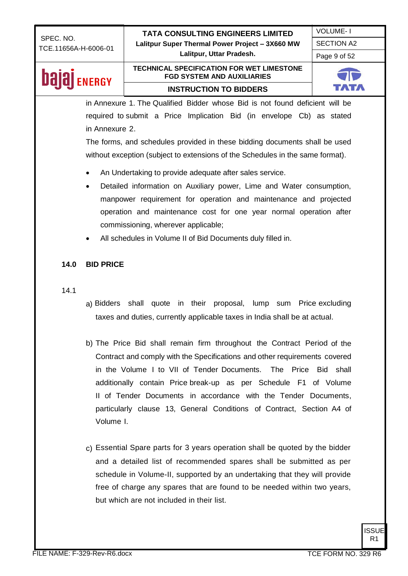**Lalitpur, Uttar Pradesh.**

Page 9 of 52

### **Dajaj** ENERGY

#### **TECHNICAL SPECIFICATION FOR WET LIMESTONE FGD SYSTEM AND AUXILIARIES INSTRUCTION TO BIDDERS**



in Annexure 1. The Qualified Bidder whose Bid is not found deficient will be required to submit a Price Implication Bid (in envelope Cb) as stated in Annexure 2.

The forms, and schedules provided in these bidding documents shall be used without exception (subject to extensions of the Schedules in the same format).

- An Undertaking to provide adequate after sales service.
- Detailed information on Auxiliary power, Lime and Water consumption, manpower requirement for operation and maintenance and projected operation and maintenance cost for one year normal operation after commissioning, wherever applicable;
- All schedules in Volume II of Bid Documents duly filled in.

#### **14.0 BID PRICE**

#### 14.1

- a) Bidders shall quote in their proposal, lump sum Price excluding taxes and duties, currently applicable taxes in India shall be at actual.
- b) The Price Bid shall remain firm throughout the Contract Period of the Contract and comply with the Specifications and other requirements covered in the Volume I to VII of Tender Documents. The Price Bid shall additionally contain Price break-up as per Schedule F1 of Volume II of Tender Documents in accordance with the Tender Documents, particularly clause 13, General Conditions of Contract, Section A4 of Volume I.
- c) Essential Spare parts for 3 years operation shall be quoted by the bidder and a detailed list of recommended spares shall be submitted as per schedule in Volume-II, supported by an undertaking that they will provide free of charge any spares that are found to be needed within two years, but which are not included in their list.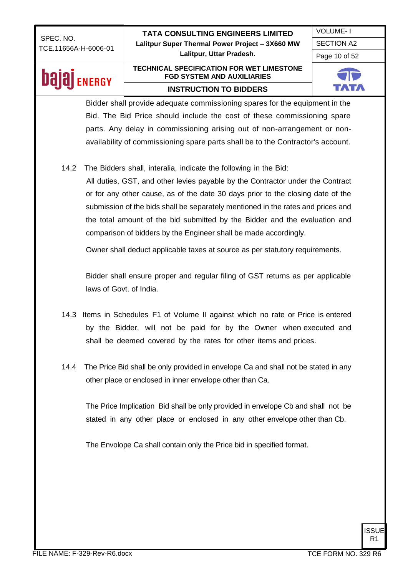VOLUME- I SECTION A2

Page 10 of 52

### **bajaj** ENERGY

#### **TECHNICAL SPECIFICATION FOR WET LIMESTONE FGD SYSTEM AND AUXILIARIES INSTRUCTION TO BIDDERS**



Bidder shall provide adequate commissioning spares for the equipment in the Bid. The Bid Price should include the cost of these commissioning spare parts. Any delay in commissioning arising out of non-arrangement or nonavailability of commissioning spare parts shall be to the Contractor's account.

14.2 The Bidders shall, interalia, indicate the following in the Bid:

All duties, GST, and other levies payable by the Contractor under the Contract or for any other cause, as of the date 30 days prior to the closing date of the submission of the bids shall be separately mentioned in the rates and prices and the total amount of the bid submitted by the Bidder and the evaluation and comparison of bidders by the Engineer shall be made accordingly.

Owner shall deduct applicable taxes at source as per statutory requirements.

Bidder shall ensure proper and regular filing of GST returns as per applicable laws of Govt. of India.

- 14.3 Items in Schedules F1 of Volume II against which no rate or Price is entered by the Bidder, will not be paid for by the Owner when executed and shall be deemed covered by the rates for other items and prices.
- 14.4 The Price Bid shall be only provided in envelope Ca and shall not be stated in any other place or enclosed in inner envelope other than Ca.

The Price Implication Bid shall be only provided in envelope Cb and shall not be stated in any other place or enclosed in any other envelope other than Cb.

The Envolope Ca shall contain only the Price bid in specified format.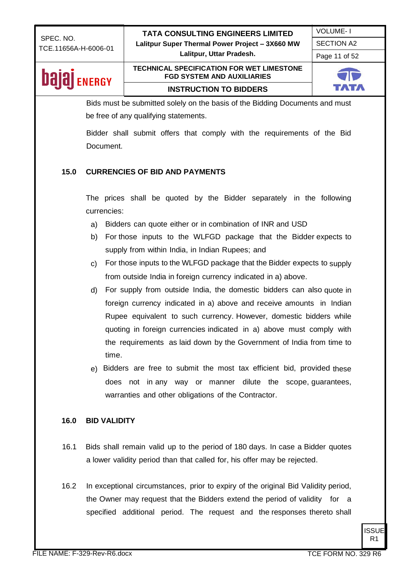**Lalitpur, Uttar Pradesh.**

VOLUME- I SECTION A2

Page 11 of 52

### **bajaj** ENERGY

#### **TECHNICAL SPECIFICATION FOR WET LIMESTONE FGD SYSTEM AND AUXILIARIES INSTRUCTION TO BIDDERS**

Bids must be submitted solely on the basis of the Bidding Documents and must be free of any qualifying statements.

Bidder shall submit offers that comply with the requirements of the Bid Document.

#### **15.0 CURRENCIES OF BID AND PAYMENTS**

The prices shall be quoted by the Bidder separately in the following currencies:

- a) Bidders can quote either or in combination of INR and USD
- b) For those inputs to the WLFGD package that the Bidder expects to supply from within India, in Indian Rupees; and
- c) For those inputs to the WLFGD package that the Bidder expects to supply from outside India in foreign currency indicated in a) above.
- d) For supply from outside India, the domestic bidders can also quote in foreign currency indicated in a) above and receive amounts in Indian Rupee equivalent to such currency. However, domestic bidders while quoting in foreign currencies indicated in a) above must comply with the requirements as laid down by the Government of India from time to time.
- e) Bidders are free to submit the most tax efficient bid, provided these does not in any way or manner dilute the scope, guarantees, warranties and other obligations of the Contractor.

#### **16.0 BID VALIDITY**

- 16.1 Bids shall remain valid up to the period of 180 days. In case a Bidder quotes a lower validity period than that called for, his offer may be rejected.
- 16.2 In exceptional circumstances, prior to expiry of the original Bid Validity period, the Owner may request that the Bidders extend the period of validity for a specified additional period. The request and the responses thereto shall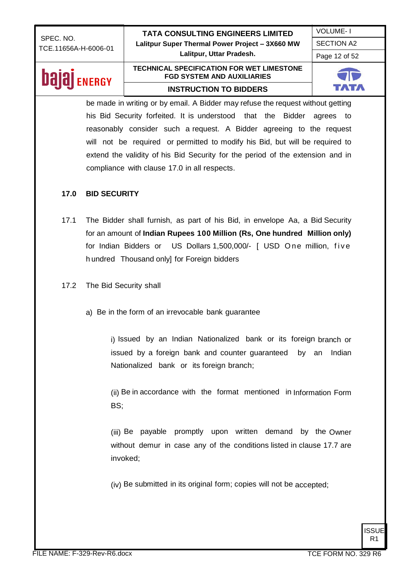SECTION A2 Page 12 of 52

VOLUME- I

## **Dajaj** ENERGY

#### **TECHNICAL SPECIFICATION FOR WET LIMESTONE FGD SYSTEM AND AUXILIARIES INSTRUCTION TO BIDDERS**



be made in writing or by email. A Bidder may refuse the request without getting his Bid Security forfeited. It is understood that the Bidder agrees to reasonably consider such a request. A Bidder agreeing to the request will not be required or permitted to modify his Bid, but will be required to extend the validity of his Bid Security for the period of the extension and in compliance with clause 17.0 in all respects.

#### **17.0 BID SECURITY**

- 17.1 The Bidder shall furnish, as part of his Bid, in envelope Aa, a Bid Security for an amount of **Indian Rupees 100 Million (Rs, One hundred Million only)**  for Indian Bidders or US Dollars 1,500,000/- [ USD One million, five h undred Thousand only] for Foreign bidders
- 17.2 The Bid Security shall
	- a) Be in the form of an irrevocable bank guarantee

i) Issued by an Indian Nationalized bank or its foreign branch or issued by a foreign bank and counter guaranteed by an Indian Nationalized bank or its foreign branch;

(ii) Be in accordance with the format mentioned in Information Form BS;

(iii) Be payable promptly upon written demand by the Owner without demur in case any of the conditions listed in clause 17.7 are invoked;

(iv) Be submitted in its original form; copies will not be accepted;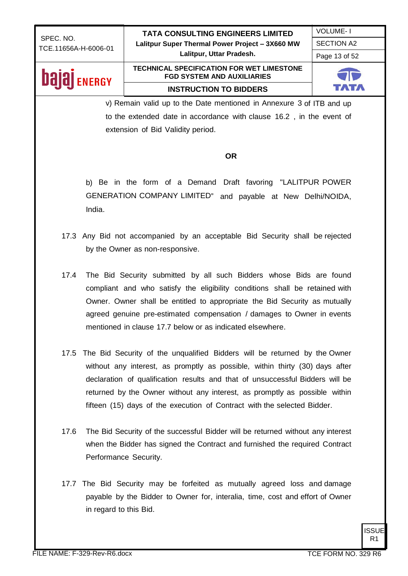**Lalitpur, Uttar Pradesh.**

SECTION A2 Page 13 of 52

VOLUME- I

### **Dajaj** ENERGY

#### **TECHNICAL SPECIFICATION FOR WET LIMESTONE FGD SYSTEM AND AUXILIARIES INSTRUCTION TO BIDDERS**



v) Remain valid up to the Date mentioned in Annexure 3 of ITB and up to the extended date in accordance with clause 16.2 , in the event of extension of Bid Validity period.

#### **OR**

b) Be in the form of a Demand Draft favoring "LALITPUR POWER GENERATION COMPANY LIMITED" and payable at New Delhi/NOIDA, India.

- 17.3 Any Bid not accompanied by an acceptable Bid Security shall be rejected by the Owner as non-responsive.
- 17.4 The Bid Security submitted by all such Bidders whose Bids are found compliant and who satisfy the eligibility conditions shall be retained with Owner. Owner shall be entitled to appropriate the Bid Security as mutually agreed genuine pre-estimated compensation / damages to Owner in events mentioned in clause 17.7 below or as indicated elsewhere.
- 17.5 The Bid Security of the unqualified Bidders will be returned by the Owner without any interest, as promptly as possible, within thirty (30) days after declaration of qualification results and that of unsuccessful Bidders will be returned by the Owner without any interest, as promptly as possible within fifteen (15) days of the execution of Contract with the selected Bidder.
- 17.6 The Bid Security of the successful Bidder will be returned without any interest when the Bidder has signed the Contract and furnished the required Contract Performance Security.
- 17.7 The Bid Security may be forfeited as mutually agreed loss and damage payable by the Bidder to Owner for, interalia, time, cost and effort of Owner in regard to this Bid.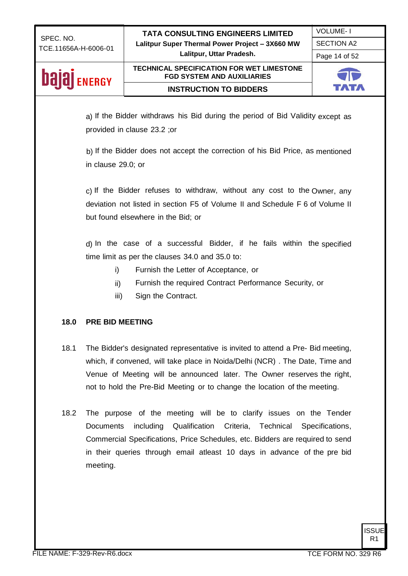VOLUME- I

SECTION A2

Page 14 of 52

## **Dajaj** ENERGY

#### **TECHNICAL SPECIFICATION FOR WET LIMESTONE FGD SYSTEM AND AUXILIARIES INSTRUCTION TO BIDDERS**



a) If the Bidder withdraws his Bid during the period of Bid Validity except as provided in clause 23.2 ;or

b) If the Bidder does not accept the correction of his Bid Price, as mentioned in clause 29.0; or

c) If the Bidder refuses to withdraw, without any cost to the Owner, any deviation not listed in section F5 of Volume II and Schedule F 6 of Volume II but found elsewhere in the Bid; or

d) In the case of a successful Bidder, if he fails within the specified time limit as per the clauses 34.0 and 35.0 to:

- i) Furnish the Letter of Acceptance, or
- ii) Furnish the required Contract Performance Security, or
- iii) Sign the Contract.

#### **18.0 PRE BID MEETING**

- 18.1 The Bidder's designated representative is invited to attend a Pre- Bid meeting, which, if convened, will take place in Noida/Delhi (NCR) . The Date, Time and Venue of Meeting will be announced later. The Owner reserves the right, not to hold the Pre-Bid Meeting or to change the location of the meeting.
- 18.2 The purpose of the meeting will be to clarify issues on the Tender Documents including Qualification Criteria, Technical Specifications, Commercial Specifications, Price Schedules, etc. Bidders are required to send in their queries through email atleast 10 days in advance of the pre bid meeting.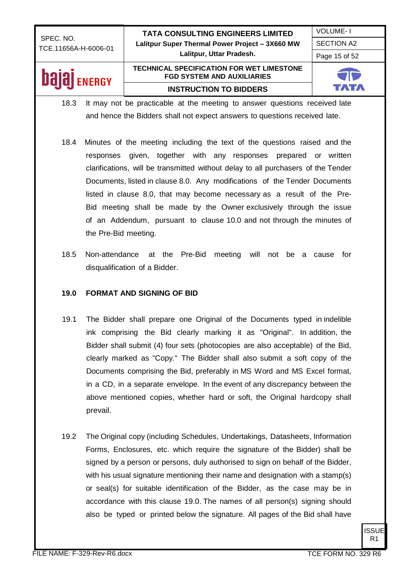### SECTION A2 Page 15 of 52

VOLUME- I

## **Dajaj** ENERGY

### **TECHNICAL SPECIFICATION FOR WET LIMESTONE FGD SYSTEM AND AUXILIARIES INSTRUCTION TO BIDDERS**



18.3 It may not be practicable at the meeting to answer questions received late and hence the Bidders shall not expect answers to questions received late.

- 18.4 Minutes of the meeting including the text of the questions raised and the responses given, together with any responses prepared or written clarifications, will be transmitted without delay to all purchasers of the Tender Documents, listed in clause 8.0. Any modifications of the Tender Documents listed in clause 8.0, that may become necessary as a result of the Pre-Bid meeting shall be made by the Owner exclusively through the issue of an Addendum, pursuant to clause 10.0 and not through the minutes of the Pre-Bid meeting.
- 18.5 Non-attendance at the Pre-Bid meeting will not be a cause for disqualification of a Bidder.

#### **19.0 FORMAT AND SIGNING OF BID**

- 19.1 The Bidder shall prepare one Original of the Documents typed in indelible ink comprising the Bid clearly marking it as "Original". In addition, the Bidder shall submit (4) four sets (photocopies are also acceptable) of the Bid, clearly marked as "Copy." The Bidder shall also submit a soft copy of the Documents comprising the Bid, preferably in MS Word and MS Excel format, in a CD, in a separate envelope. In the event of any discrepancy between the above mentioned copies, whether hard or soft, the Original hardcopy shall prevail.
- 19.2 The Original copy (including Schedules, Undertakings, Datasheets, Information Forms, Enclosures, etc. which require the signature of the Bidder) shall be signed by a person or persons, duly authorised to sign on behalf of the Bidder, with his usual signature mentioning their name and designation with a stamp(s) or seal(s) for suitable identification of the Bidder, as the case may be in accordance with this clause 19.0. The names of all person(s) signing should also be typed or printed below the signature. All pages of the Bid shall have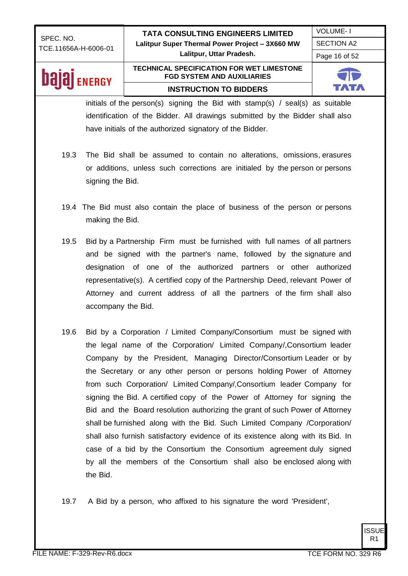## **Dajaj** ENERGY

#### **TECHNICAL SPECIFICATION FOR WET LIMESTONE FGD SYSTEM AND AUXILIARIES INSTRUCTION TO BIDDERS**



initials of the person(s) signing the Bid with stamp(s) / seal(s) as suitable identification of the Bidder. All drawings submitted by the Bidder shall also have initials of the authorized signatory of the Bidder.

- 19.3 The Bid shall be assumed to contain no alterations, omissions, erasures or additions, unless such corrections are initialed by the person or persons signing the Bid.
- 19.4 The Bid must also contain the place of business of the person or persons making the Bid.
- 19.5 Bid by a Partnership Firm must be furnished with full names of all partners and be signed with the partner's name, followed by the signature and designation of one of the authorized partners or other authorized representative(s). A certified copy of the Partnership Deed, relevant Power of Attorney and current address of all the partners of the firm shall also accompany the Bid.
- 19.6 Bid by a Corporation / Limited Company/Consortium must be signed with the legal name of the Corporation/ Limited Company/,Consortium leader Company by the President, Managing Director/Consortium Leader or by the Secretary or any other person or persons holding Power of Attorney from such Corporation/ Limited Company/,Consortium leader Company for signing the Bid. A certified copy of the Power of Attorney for signing the Bid and the Board resolution authorizing the grant of such Power of Attorney shall be furnished along with the Bid. Such Limited Company /Corporation/ shall also furnish satisfactory evidence of its existence along with its Bid. In case of a bid by the Consortium the Consortium agreement duly signed by all the members of the Consortium shall also be enclosed along with the Bid.

19.7 A Bid by a person, who affixed to his signature the word 'President',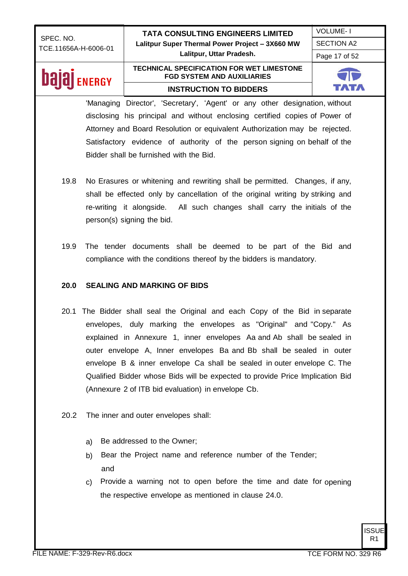VOLUME- I SECTION A2

Page 17 of 52

## **Dajaj** ENERGY

#### **TECHNICAL SPECIFICATION FOR WET LIMESTONE FGD SYSTEM AND AUXILIARIES INSTRUCTION TO BIDDERS**



'Managing Director', 'Secretary', 'Agent' or any other designation, without disclosing his principal and without enclosing certified copies of Power of Attorney and Board Resolution or equivalent Authorization may be rejected. Satisfactory evidence of authority of the person signing on behalf of the Bidder shall be furnished with the Bid.

- 19.8 No Erasures or whitening and rewriting shall be permitted. Changes, if any, shall be effected only by cancellation of the original writing by striking and re-writing it alongside. All such changes shall carry the initials of the person(s) signing the bid.
- 19.9 The tender documents shall be deemed to be part of the Bid and compliance with the conditions thereof by the bidders is mandatory.

#### **20.0 SEALING AND MARKING OF BIDS**

- 20.1 The Bidder shall seal the Original and each Copy of the Bid in separate envelopes, duly marking the envelopes as "Original" and "Copy." As explained in Annexure 1, inner envelopes Aa and Ab shall be sealed in outer envelope A, Inner envelopes Ba and Bb shall be sealed in outer envelope B & inner envelope Ca shall be sealed in outer envelope C. The Qualified Bidder whose Bids will be expected to provide Price Implication Bid (Annexure 2 of ITB bid evaluation) in envelope Cb.
- 20.2 The inner and outer envelopes shall:
	- a) Be addressed to the Owner;
	- b) Bear the Project name and reference number of the Tender; and
	- c) Provide a warning not to open before the time and date for opening the respective envelope as mentioned in clause 24.0.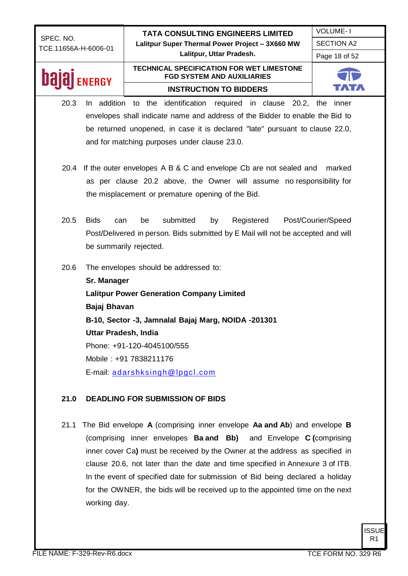VOLUME- I SECTION A2

Page 18 of 52

### bala **ENERGY**

#### **TECHNICAL SPECIFICATION FOR WET LIMESTONE FGD SYSTEM AND AUXILIARIES INSTRUCTION TO BIDDERS**



- 20.3 In addition to the identification required in clause 20.2, the inner envelopes shall indicate name and address of the Bidder to enable the Bid to be returned unopened, in case it is declared "late" pursuant to clause 22.0, and for matching purposes under clause 23.0.
- 20.4 If the outer envelopes A B & C and envelope Cb are not sealed and marked as per clause 20.2 above, the Owner will assume no responsibility for the misplacement or premature opening of the Bid.
- 20.5 Bids can be submitted by Registered Post/Courier/Speed Post/Delivered in person. Bids submitted by E Mail will not be accepted and will be summarily rejected.
- 20.6 The envelopes should be addressed to:

**Sr. Manager Lalitpur Power Generation Company Limited Bajaj Bhavan B-10, Sector -3, Jamnalal Bajaj Marg, NOIDA -201301 Uttar Pradesh, India** Phone: +91-120-4045100/555 Mobile : +91 7838211176 E-mail: [adarshksingh@lpgcl.com](mailto:adarshksingh@lpgcl.com)

### **21.0 DEADLING FOR SUBMISSION OF BIDS**

21.1 The Bid envelope **A** (comprising inner envelope **Aa and Ab**) and envelope **B**  (comprising inner envelopes **Ba and Bb)** and Envelope **C (**comprising inner cover Ca**)** must be received by the Owner at the address as specified in clause 20.6, not later than the date and time specified in Annexure 3 of ITB. In the event of specified date for submission of Bid being declared a holiday for the OWNER, the bids will be received up to the appointed time on the next working day.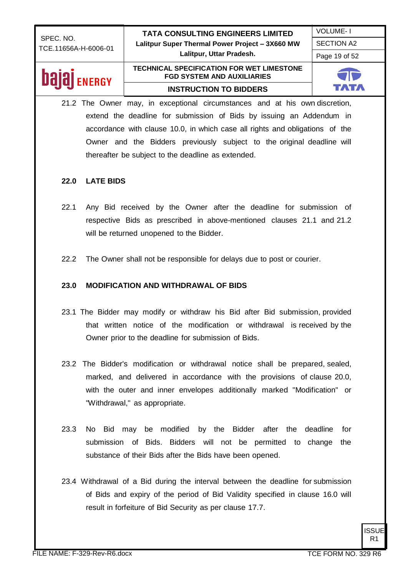VOLUME- I SECTION A2

Page 19 of 52

# **Dajaj** ENERGY

#### **TECHNICAL SPECIFICATION FOR WET LIMESTONE FGD SYSTEM AND AUXILIARIES INSTRUCTION TO BIDDERS**



21.2 The Owner may, in exceptional circumstances and at his own discretion, extend the deadline for submission of Bids by issuing an Addendum in accordance with clause 10.0, in which case all rights and obligations of the Owner and the Bidders previously subject to the original deadline will thereafter be subject to the deadline as extended.

### **22.0 LATE BIDS**

- 22.1 Any Bid received by the Owner after the deadline for submission of respective Bids as prescribed in above-mentioned clauses 21.1 and 21.2 will be returned unopened to the Bidder.
- 22.2 The Owner shall not be responsible for delays due to post or courier.

#### **23.0 MODIFICATION AND WITHDRAWAL OF BIDS**

- 23.1 The Bidder may modify or withdraw his Bid after Bid submission, provided that written notice of the modification or withdrawal is received by the Owner prior to the deadline for submission of Bids.
- 23.2 The Bidder's modification or withdrawal notice shall be prepared, sealed, marked, and delivered in accordance with the provisions of clause 20.0, with the outer and inner envelopes additionally marked "Modification" or "Withdrawal," as appropriate.
- 23.3 No Bid may be modified by the Bidder after the deadline for submission of Bids. Bidders will not be permitted to change the substance of their Bids after the Bids have been opened.
- 23.4 Withdrawal of a Bid during the interval between the deadline for submission of Bids and expiry of the period of Bid Validity specified in clause 16.0 will result in forfeiture of Bid Security as per clause 17.7.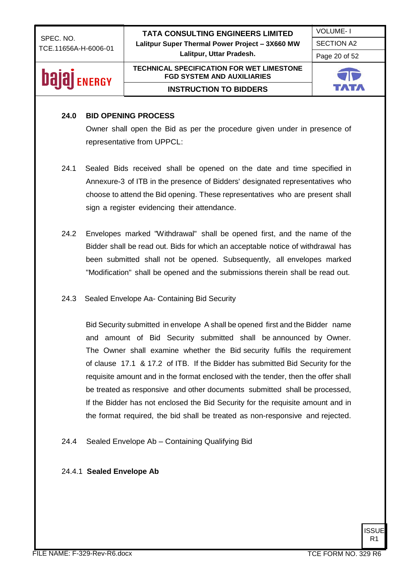VOLUME- I

SECTION A2

Page 20 of 52

## **bajaj** ENERGY

#### **TECHNICAL SPECIFICATION FOR WET LIMESTONE FGD SYSTEM AND AUXILIARIES INSTRUCTION TO BIDDERS**



#### **24.0 BID OPENING PROCESS**

Owner shall open the Bid as per the procedure given under in presence of representative from UPPCL:

- 24.1 Sealed Bids received shall be opened on the date and time specified in Annexure-3 of ITB in the presence of Bidders' designated representatives who choose to attend the Bid opening. These representatives who are present shall sign a register evidencing their attendance.
- 24.2 Envelopes marked "Withdrawal" shall be opened first, and the name of the Bidder shall be read out. Bids for which an acceptable notice of withdrawal has been submitted shall not be opened. Subsequently, all envelopes marked "Modification" shall be opened and the submissions therein shall be read out.
- 24.3 Sealed Envelope Aa- Containing Bid Security

Bid Security submitted in envelope A shall be opened first and the Bidder name and amount of Bid Security submitted shall be announced by Owner. The Owner shall examine whether the Bid security fulfils the requirement of clause 17.1 & 17.2 of ITB. If the Bidder has submitted Bid Security for the requisite amount and in the format enclosed with the tender, then the offer shall be treated as responsive and other documents submitted shall be processed, If the Bidder has not enclosed the Bid Security for the requisite amount and in the format required, the bid shall be treated as non-responsive and rejected.

24.4 Sealed Envelope Ab – Containing Qualifying Bid

#### 24.4.1 **Sealed Envelope Ab**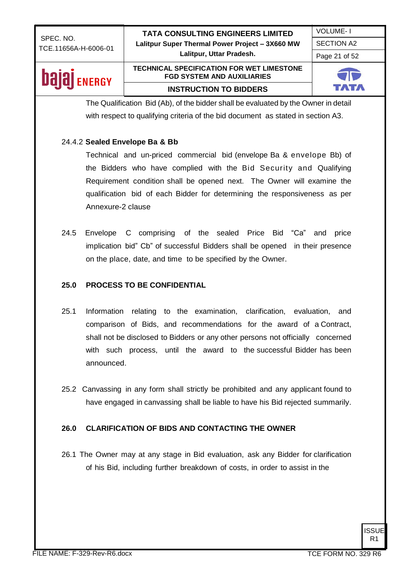**Lalitpur, Uttar Pradesh.**

VOLUME- I SECTION A2 Page 21 of 52

### **bajaj** ENERGY

#### **TECHNICAL SPECIFICATION FOR WET LIMESTONE FGD SYSTEM AND AUXILIARIES INSTRUCTION TO BIDDERS**



The Qualification Bid (Ab), of the bidder shall be evaluated by the Owner in detail with respect to qualifying criteria of the bid document as stated in section A3.

#### 24.4.2 **Sealed Envelope Ba & Bb**

Technical and un-priced commercial bid (envelope Ba & envelope Bb) of the Bidders who have complied with the Bid Security and Qualifying Requirement condition shall be opened next. The Owner will examine the qualification bid of each Bidder for determining the responsiveness as per Annexure-2 clause

24.5 Envelope C comprising of the sealed Price Bid "Ca" and price implication bid" Cb" of successful Bidders shall be opened in their presence on the place, date, and time to be specified by the Owner.

#### **25.0 PROCESS TO BE CONFIDENTIAL**

- 25.1 Information relating to the examination, clarification, evaluation, and comparison of Bids, and recommendations for the award of a Contract, shall not be disclosed to Bidders or any other persons not officially concerned with such process, until the award to the successful Bidder has been announced.
- 25.2 Canvassing in any form shall strictly be prohibited and any applicant found to have engaged in canvassing shall be liable to have his Bid rejected summarily.

#### **26.0 CLARIFICATION OF BIDS AND CONTACTING THE OWNER**

26.1 The Owner may at any stage in Bid evaluation, ask any Bidder for clarification of his Bid, including further breakdown of costs, in order to assist in the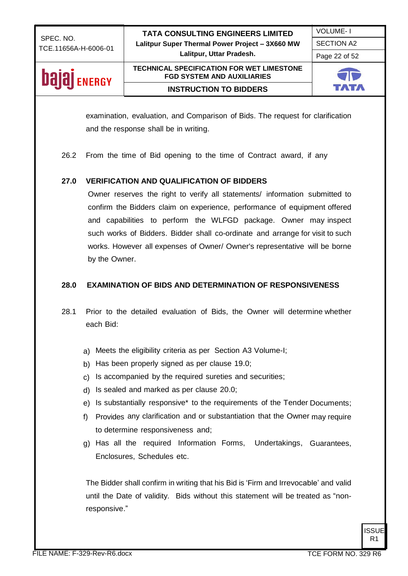VOLUME- I SECTION A2

Page 22 of 52

## **bajaj** ENERGY

#### **TECHNICAL SPECIFICATION FOR WET LIMESTONE FGD SYSTEM AND AUXILIARIES INSTRUCTION TO BIDDERS**



examination, evaluation, and Comparison of Bids. The request for clarification and the response shall be in writing.

26.2 From the time of Bid opening to the time of Contract award, if any

#### **27.0 VERIFICATION AND QUALIFICATION OF BIDDERS**

Owner reserves the right to verify all statements/ information submitted to confirm the Bidders claim on experience, performance of equipment offered and capabilities to perform the WLFGD package. Owner may inspect such works of Bidders. Bidder shall co-ordinate and arrange for visit to such works. However all expenses of Owner/ Owner's representative will be borne by the Owner.

#### **28.0 EXAMINATION OF BIDS AND DETERMINATION OF RESPONSIVENESS**

- 28.1 Prior to the detailed evaluation of Bids, the Owner will determine whether each Bid:
	- a) Meets the eligibility criteria as per Section A3 Volume-I;
	- b) Has been properly signed as per clause 19.0;
	- c) Is accompanied by the required sureties and securities;
	- d) Is sealed and marked as per clause 20.0;
	- e) Is substantially responsive\* to the requirements of the Tender Documents;
	- f) Provides any clarification and or substantiation that the Owner may require to determine responsiveness and;
	- g) Has all the required Information Forms, Undertakings, Guarantees, Enclosures, Schedules etc.

The Bidder shall confirm in writing that his Bid is 'Firm and Irrevocable' and valid until the Date of validity. Bids without this statement will be treated as "nonresponsive."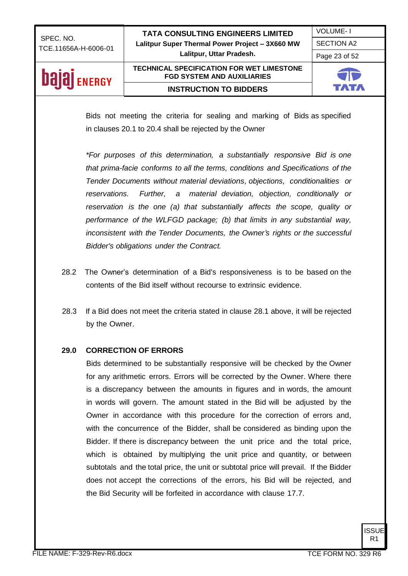VOLUME- I

SECTION A2

Page 23 of 52

## **Dajaj** ENERGY

#### **TECHNICAL SPECIFICATION FOR WET LIMESTONE FGD SYSTEM AND AUXILIARIES INSTRUCTION TO BIDDERS**



Bids not meeting the criteria for sealing and marking of Bids as specified in clauses 20.1 to 20.4 shall be rejected by the Owner

*\*For purposes of this determination, a substantially responsive Bid is one that prima-facie conforms to all the terms, conditions and Specifications of the Tender Documents without material deviations, objections, conditionalities or reservations. Further, a material deviation, objection, conditionally or reservation is the one (a) that substantially affects the scope, quality or performance of the WLFGD package; (b) that limits in any substantial way, inconsistent with the Tender Documents, the Owner's rights or the successful Bidder's obligations under the Contract.*

- 28.2 The Owner's determination of a Bid's responsiveness is to be based on the contents of the Bid itself without recourse to extrinsic evidence.
- 28.3 If a Bid does not meet the criteria stated in clause 28.1 above, it will be rejected by the Owner.

#### **29.0 CORRECTION OF ERRORS**

Bids determined to be substantially responsive will be checked by the Owner for any arithmetic errors. Errors will be corrected by the Owner. Where there is a discrepancy between the amounts in figures and in words, the amount in words will govern. The amount stated in the Bid will be adjusted by the Owner in accordance with this procedure for the correction of errors and, with the concurrence of the Bidder, shall be considered as binding upon the Bidder. If there is discrepancy between the unit price and the total price, which is obtained by multiplying the unit price and quantity, or between subtotals and the total price, the unit or subtotal price will prevail. If the Bidder does not accept the corrections of the errors, his Bid will be rejected, and the Bid Security will be forfeited in accordance with clause 17.7.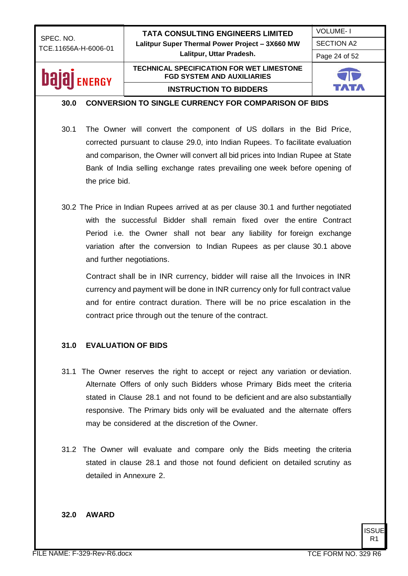VOLUME- I SECTION A2

Page 24 of 52

## **Dalal** ENERGY

#### **TECHNICAL SPECIFICATION FOR WET LIMESTONE FGD SYSTEM AND AUXILIARIES INSTRUCTION TO BIDDERS**



#### **30.0 CONVERSION TO SINGLE CURRENCY FOR COMPARISON OF BIDS**

- 30.1 The Owner will convert the component of US dollars in the Bid Price, corrected pursuant to clause 29.0, into Indian Rupees. To facilitate evaluation and comparison, the Owner will convert all bid prices into Indian Rupee at State Bank of India selling exchange rates prevailing one week before opening of the price bid.
- 30.2 The Price in Indian Rupees arrived at as per clause 30.1 and further negotiated with the successful Bidder shall remain fixed over the entire Contract Period i.e. the Owner shall not bear any liability for foreign exchange variation after the conversion to Indian Rupees as per clause 30.1 above and further negotiations.

 Contract shall be in INR currency, bidder will raise all the Invoices in INR currency and payment will be done in INR currency only for full contract value and for entire contract duration. There will be no price escalation in the contract price through out the tenure of the contract.

#### **31.0 EVALUATION OF BIDS**

- 31.1 The Owner reserves the right to accept or reject any variation or deviation. Alternate Offers of only such Bidders whose Primary Bids meet the criteria stated in Clause 28.1 and not found to be deficient and are also substantially responsive. The Primary bids only will be evaluated and the alternate offers may be considered at the discretion of the Owner.
- 31.2 The Owner will evaluate and compare only the Bids meeting the criteria stated in clause 28.1 and those not found deficient on detailed scrutiny as detailed in Annexure 2.

#### **32.0 AWARD**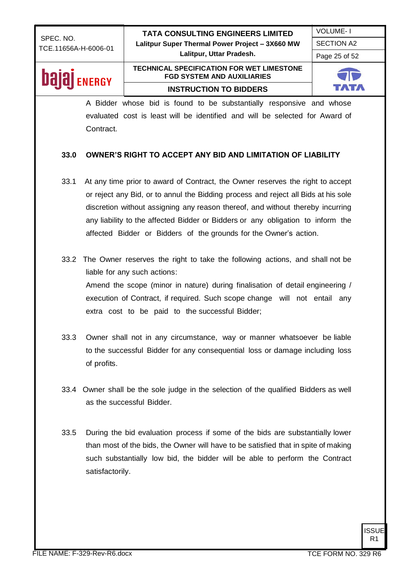VOLUME- I

SECTION A2

Page 25 of 52

### **Dajaj** ENERGY

#### **TECHNICAL SPECIFICATION FOR WET LIMESTONE FGD SYSTEM AND AUXILIARIES INSTRUCTION TO BIDDERS**



A Bidder whose bid is found to be substantially responsive and whose evaluated cost is least will be identified and will be selected for Award of Contract.

#### **33.0 OWNER'S RIGHT TO ACCEPT ANY BID AND LIMITATION OF LIABILITY**

- 33.1 At any time prior to award of Contract, the Owner reserves the right to accept or reject any Bid, or to annul the Bidding process and reject all Bids at his sole discretion without assigning any reason thereof, and without thereby incurring any liability to the affected Bidder or Bidders or any obligation to inform the affected Bidder or Bidders of the grounds for the Owner's action.
- 33.2 The Owner reserves the right to take the following actions, and shall not be liable for any such actions: Amend the scope (minor in nature) during finalisation of detail engineering / execution of Contract, if required. Such scope change will not entail any extra cost to be paid to the successful Bidder;
- 33.3 Owner shall not in any circumstance, way or manner whatsoever be liable to the successful Bidder for any consequential loss or damage including loss of profits.
- 33.4 Owner shall be the sole judge in the selection of the qualified Bidders as well as the successful Bidder.
- 33.5 During the bid evaluation process if some of the bids are substantially lower than most of the bids, the Owner will have to be satisfied that in spite of making such substantially low bid, the bidder will be able to perform the Contract satisfactorily.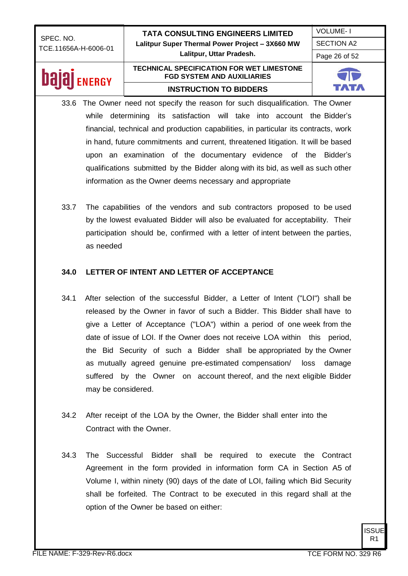VOLUME- I SECTION A2

Page 26 of 52

### bajaj **ENERGY**

#### **TECHNICAL SPECIFICATION FOR WET LIMESTONE FGD SYSTEM AND AUXILIARIES INSTRUCTION TO BIDDERS**



- 33.6 The Owner need not specify the reason for such disqualification. The Owner while determining its satisfaction will take into account the Bidder's financial, technical and production capabilities, in particular its contracts, work in hand, future commitments and current, threatened litigation. It will be based upon an examination of the documentary evidence of the Bidder's qualifications submitted by the Bidder along with its bid, as well as such other information as the Owner deems necessary and appropriate
- 33.7 The capabilities of the vendors and sub contractors proposed to be used by the lowest evaluated Bidder will also be evaluated for acceptability. Their participation should be, confirmed with a letter of intent between the parties, as needed

#### **34.0 LETTER OF INTENT AND LETTER OF ACCEPTANCE**

- 34.1 After selection of the successful Bidder, a Letter of Intent ("LOI") shall be released by the Owner in favor of such a Bidder. This Bidder shall have to give a Letter of Acceptance ("LOA") within a period of one week from the date of issue of LOI. If the Owner does not receive LOA within this period, the Bid Security of such a Bidder shall be appropriated by the Owner as mutually agreed genuine pre-estimated compensation/ loss damage suffered by the Owner on account thereof, and the next eligible Bidder may be considered.
- 34.2 After receipt of the LOA by the Owner, the Bidder shall enter into the Contract with the Owner.
- 34.3 The Successful Bidder shall be required to execute the Contract Agreement in the form provided in information form CA in Section A5 of Volume I, within ninety (90) days of the date of LOI, failing which Bid Security shall be forfeited. The Contract to be executed in this regard shall at the option of the Owner be based on either: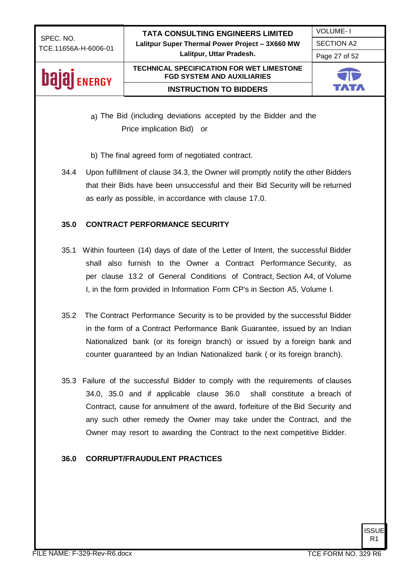VOLUME- I

SECTION A2

Page 27 of 52

### **Dajaj** ENERGY

#### **TECHNICAL SPECIFICATION FOR WET LIMESTONE FGD SYSTEM AND AUXILIARIES INSTRUCTION TO BIDDERS**



a) The Bid (including deviations accepted by the Bidder and the Price implication Bid) or

- b) The final agreed form of negotiated contract.
- 34.4 Upon fulfillment of clause 34.3, the Owner will promptly notify the other Bidders that their Bids have been unsuccessful and their Bid Security will be returned as early as possible, in accordance with clause 17.0.

#### **35.0 CONTRACT PERFORMANCE SECURITY**

- 35.1 Within fourteen (14) days of date of the Letter of Intent, the successful Bidder shall also furnish to the Owner a Contract Performance Security, as per clause 13.2 of General Conditions of Contract, Section A4, of Volume I, in the form provided in Information Form CP's in Section A5, Volume I.
- 35.2 The Contract Performance Security is to be provided by the successful Bidder in the form of a Contract Performance Bank Guarantee, issued by an Indian Nationalized bank (or its foreign branch) or issued by a foreign bank and counter guaranteed by an Indian Nationalized bank ( or its foreign branch).
- 35.3 Failure of the successful Bidder to comply with the requirements of clauses 34.0, 35.0 and if applicable clause 36.0 shall constitute a breach of Contract, cause for annulment of the award, forfeiture of the Bid Security and any such other remedy the Owner may take under the Contract, and the Owner may resort to awarding the Contract to the next competitive Bidder.

#### **36.0 CORRUPT/FRAUDULENT PRACTICES**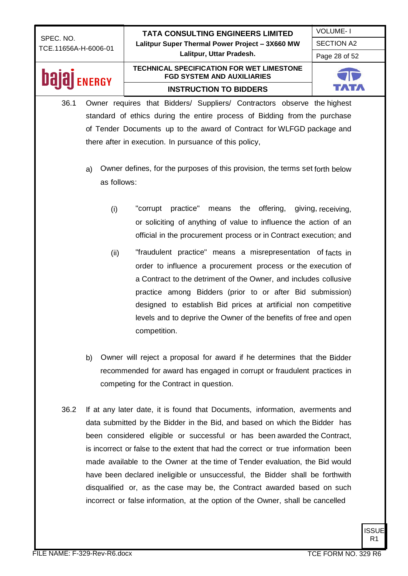VOLUME- I SECTION A2

Page 28 of 52

### **Dalal** ENERGY

### **TECHNICAL SPECIFICATION FOR WET LIMESTONE FGD SYSTEM AND AUXILIARIES INSTRUCTION TO BIDDERS**



- 36.1 Owner requires that Bidders/ Suppliers/ Contractors observe the highest standard of ethics during the entire process of Bidding from the purchase of Tender Documents up to the award of Contract for WLFGD package and there after in execution. In pursuance of this policy,
	- a) Owner defines, for the purposes of this provision, the terms set forth below as follows:
		- (i) "corrupt practice" means the offering, giving, receiving, or soliciting of anything of value to influence the action of an official in the procurement process or in Contract execution; and
		- (ii) "fraudulent practice" means a misrepresentation of facts in order to influence a procurement process or the execution of a Contract to the detriment of the Owner, and includes collusive practice among Bidders (prior to or after Bid submission) designed to establish Bid prices at artificial non competitive levels and to deprive the Owner of the benefits of free and open competition.
	- b) Owner will reject a proposal for award if he determines that the Bidder recommended for award has engaged in corrupt or fraudulent practices in competing for the Contract in question.
- 36.2 If at any later date, it is found that Documents, information, averments and data submitted by the Bidder in the Bid, and based on which the Bidder has been considered eligible or successful or has been awarded the Contract, is incorrect or false to the extent that had the correct or true information been made available to the Owner at the time of Tender evaluation, the Bid would have been declared ineligible or unsuccessful, the Bidder shall be forthwith disqualified or, as the case may be, the Contract awarded based on such incorrect or false information, at the option of the Owner, shall be cancelled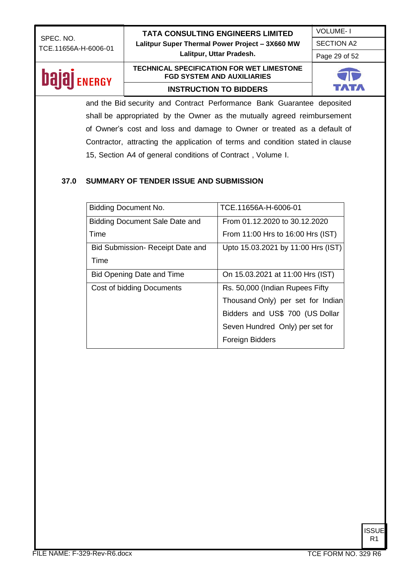SECTION A2

VOLUME- I

Page 29 of 52

## **bajaj** ENERGY

#### **TECHNICAL SPECIFICATION FOR WET LIMESTONE FGD SYSTEM AND AUXILIARIES INSTRUCTION TO BIDDERS**



and the Bid security and Contract Performance Bank Guarantee deposited shall be appropriated by the Owner as the mutually agreed reimbursement of Owner's cost and loss and damage to Owner or treated as a default of Contractor, attracting the application of terms and condition stated in clause 15, Section A4 of general conditions of Contract , Volume I.

### **37.0 SUMMARY OF TENDER ISSUE AND SUBMISSION**

| Bidding Document No.                    | TCE.11656A-H-6006-01               |
|-----------------------------------------|------------------------------------|
| Bidding Document Sale Date and          | From 01.12.2020 to 30.12.2020      |
| Time                                    | From 11:00 Hrs to 16:00 Hrs (IST)  |
| <b>Bid Submission- Receipt Date and</b> | Upto 15.03.2021 by 11:00 Hrs (IST) |
| Time                                    |                                    |
| <b>Bid Opening Date and Time</b>        | On 15.03.2021 at 11:00 Hrs (IST)   |
| Cost of bidding Documents               | Rs. 50,000 (Indian Rupees Fifty)   |
|                                         | Thousand Only) per set for Indian  |
|                                         | Bidders and US\$ 700 (US Dollar    |
|                                         | Seven Hundred Only) per set for    |
|                                         | Foreign Bidders                    |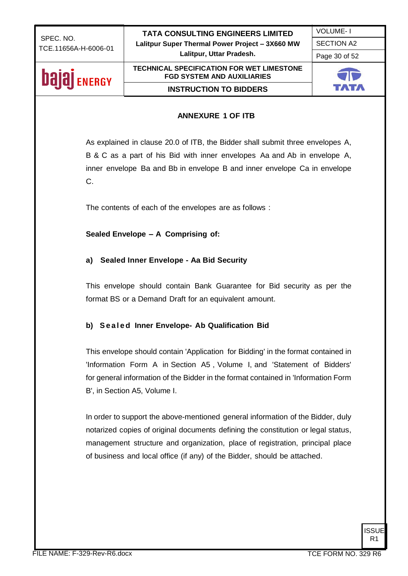VOLUME- I

SECTION A2

#### Page 30 of 52

### **bajaj** ENERGY

#### **FGD SYSTEM AND AUXILIARIES INSTRUCTION TO BIDDERS**

**TECHNICAL SPECIFICATION FOR WET LIMESTONE** 



#### **ANNEXURE 1 OF ITB**

As explained in clause 20.0 of ITB, the Bidder shall submit three envelopes A, B & C as a part of his Bid with inner envelopes Aa and Ab in envelope A, inner envelope Ba and Bb in envelope B and inner envelope Ca in envelope C.

The contents of each of the envelopes are as follows :

**Sealed Envelope – A Comprising of:**

#### **a) Sealed Inner Envelope - Aa Bid Security**

This envelope should contain Bank Guarantee for Bid security as per the format BS or a Demand Draft for an equivalent amount.

#### **b) S e a l e d Inner Envelope- Ab Qualification Bid**

This envelope should contain 'Application for Bidding' in the format contained in 'Information Form A in Section A5 , Volume I, and 'Statement of Bidders' for general information of the Bidder in the format contained in 'Information Form B', in Section A5, Volume I.

In order to support the above-mentioned general information of the Bidder, duly notarized copies of original documents defining the constitution or legal status, management structure and organization, place of registration, principal place of business and local office (if any) of the Bidder, should be attached.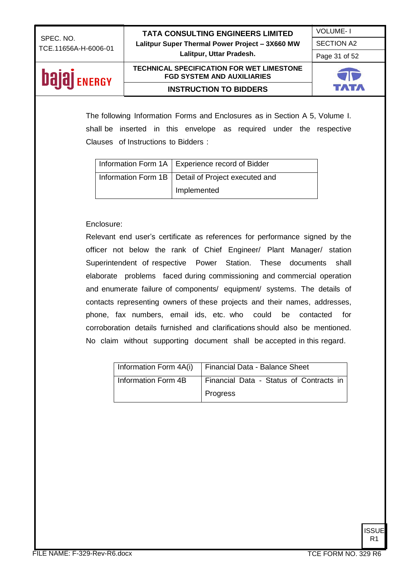VOLUME- I

SECTION A2

Page 31 of 52

## **bajaj** ENERGY

#### **TECHNICAL SPECIFICATION FOR WET LIMESTONE FGD SYSTEM AND AUXILIARIES INSTRUCTION TO BIDDERS**



The following Information Forms and Enclosures as in Section A 5, Volume I. shall be inserted in this envelope as required under the respective Clauses of Instructions to Bidders :

| Information Form 1A   Experience record of Bidder    |
|------------------------------------------------------|
| Information Form 1B   Detail of Project executed and |
| Implemented                                          |

#### Enclosure:

Relevant end user's certificate as references for performance signed by the officer not below the rank of Chief Engineer/ Plant Manager/ station Superintendent of respective Power Station. These documents shall elaborate problems faced during commissioning and commercial operation and enumerate failure of components/ equipment/ systems. The details of contacts representing owners of these projects and their names, addresses, phone, fax numbers, email ids, etc. who could be contacted for corroboration details furnished and clarifications should also be mentioned. No claim without supporting document shall be accepted in this regard.

|                     | Information Form 4A(i)   Financial Data - Balance Sheet |  |
|---------------------|---------------------------------------------------------|--|
| Information Form 4B | Financial Data - Status of Contracts in                 |  |
|                     | Progress                                                |  |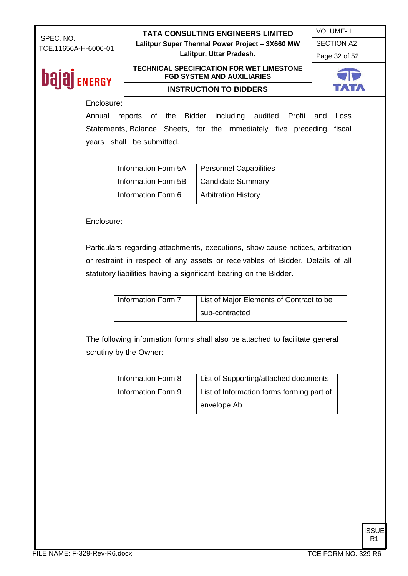**Lalitpur, Uttar Pradesh.**

VOLUME- I SECTION A2

Page 32 of 52

### **bajaj** ENERGY

#### **TECHNICAL SPECIFICATION FOR WET LIMESTONE FGD SYSTEM AND AUXILIARIES INSTRUCTION TO BIDDERS**



#### Enclosure:

Annual reports of the Bidder including audited Profit and Loss Statements, Balance Sheets, for the immediately five preceding fiscal years shall be submitted.

| Information Form 5A | Personnel Capabilities     |
|---------------------|----------------------------|
| Information Form 5B | Candidate Summary          |
| Information Form 6  | <b>Arbitration History</b> |

#### Enclosure:

Particulars regarding attachments, executions, show cause notices, arbitration or restraint in respect of any assets or receivables of Bidder. Details of all statutory liabilities having a significant bearing on the Bidder.

| Information Form 7 | List of Major Elements of Contract to be |
|--------------------|------------------------------------------|
|                    | sub-contracted                           |

The following information forms shall also be attached to facilitate general scrutiny by the Owner:

| Information Form 8 | List of Supporting/attached documents     |
|--------------------|-------------------------------------------|
| Information Form 9 | List of Information forms forming part of |
|                    | envelope Ab                               |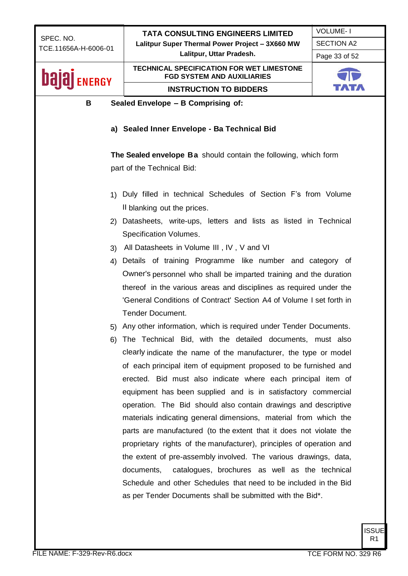|                                                                      | <b>TATA CONSULTING ENGINEERS LIMITED</b>                                              | <b>VOLUME-1</b>   |
|----------------------------------------------------------------------|---------------------------------------------------------------------------------------|-------------------|
| SPEC. NO.<br>TCE.11656A-H-6006-01                                    | Lalitpur Super Thermal Power Project - 3X660 MW                                       | <b>SECTION A2</b> |
|                                                                      | Lalitpur, Uttar Pradesh.                                                              | Page 33 of 52     |
| <b>ENERGY</b>                                                        | <b>TECHNICAL SPECIFICATION FOR WET LIMESTONE</b><br><b>FGD SYSTEM AND AUXILIARIES</b> |                   |
|                                                                      | <b>INSTRUCTION TO BIDDERS</b>                                                         |                   |
| B                                                                    | Sealed Envelope - B Comprising of:                                                    |                   |
|                                                                      |                                                                                       |                   |
|                                                                      | a) Sealed Inner Envelope - Ba Technical Bid                                           |                   |
|                                                                      |                                                                                       |                   |
|                                                                      | The Sealed envelope Ba should contain the following, which form                       |                   |
|                                                                      | part of the Technical Bid:                                                            |                   |
|                                                                      |                                                                                       |                   |
|                                                                      | 1) Duly filled in technical Schedules of Section F's from Volume                      |                   |
|                                                                      | Il blanking out the prices.                                                           |                   |
| (2)                                                                  | Datasheets, write-ups, letters and lists as listed in Technical                       |                   |
|                                                                      | Specification Volumes.                                                                |                   |
| 3)                                                                   | All Datasheets in Volume III, IV, V and VI                                            |                   |
| 4)                                                                   | Details of training Programme like number and category of                             |                   |
|                                                                      | Owner's personnel who shall be imparted training and the duration                     |                   |
|                                                                      | thereof in the various areas and disciplines as required under the                    |                   |
| 'General Conditions of Contract' Section A4 of Volume I set forth in |                                                                                       |                   |
| <b>Tender Document.</b>                                              |                                                                                       |                   |
|                                                                      | 5) Any other information, which is required under Tender Documents.                   |                   |
| 6)                                                                   | The Technical Bid, with the detailed documents, must also                             |                   |
|                                                                      | clearly indicate the name of the manufacturer, the type or model                      |                   |
|                                                                      | of each principal item of equipment proposed to be furnished and                      |                   |
|                                                                      | erected. Bid must also indicate where each principal item of                          |                   |
|                                                                      | equipment has been supplied and is in satisfactory commercial                         |                   |
|                                                                      | operation. The Bid should also contain drawings and descriptive                       |                   |
|                                                                      | materials indicating general dimensions, material from which the                      |                   |
|                                                                      | parts are manufactured (to the extent that it does not violate the                    |                   |
|                                                                      | proprietary rights of the manufacturer), principles of operation and                  |                   |
| the extent of pre-assembly involved. The various drawings, data,     |                                                                                       |                   |
| catalogues, brochures as well as the technical<br>documents,         |                                                                                       |                   |
|                                                                      | Schedule and other Schedules that need to be included in the Bid                      |                   |
| as per Tender Documents shall be submitted with the Bid*.            |                                                                                       |                   |
|                                                                      |                                                                                       |                   |
|                                                                      |                                                                                       |                   |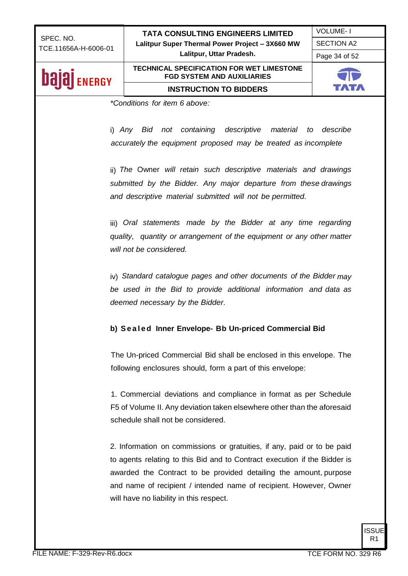VOLUME- I SECTION A2

Page 34 of 52

# **Dajaj** ENERGY

#### **TECHNICAL SPECIFICATION FOR WET LIMESTONE FGD SYSTEM AND AUXILIARIES INSTRUCTION TO BIDDERS**



*\*Conditions for item 6 above:*

i) *Any Bid not containing descriptive material to describe accurately the equipment proposed may be treated as incomplete*

ii) *The* Owner *will retain such descriptive materials and drawings submitted by the Bidder. Any major departure from these drawings and descriptive material submitted will not be permitted.*

iii) Oral statements made by the Bidder at any time regarding *quality, quantity or arrangement of the equipment or any other matter will not be considered.*

iv) *Standard catalogue pages and other documents of the Bidder may be used in the Bid to provide additional information and data as deemed necessary by the Bidder.*

#### **b) S e a l e d Inner Envelope- Bb Un-priced Commercial Bid**

The Un-priced Commercial Bid shall be enclosed in this envelope. The following enclosures should, form a part of this envelope:

1. Commercial deviations and compliance in format as per Schedule F5 of Volume II. Any deviation taken elsewhere other than the aforesaid schedule shall not be considered.

2. Information on commissions or gratuities, if any, paid or to be paid to agents relating to this Bid and to Contract execution if the Bidder is awarded the Contract to be provided detailing the amount, purpose and name of recipient / intended name of recipient. However, Owner will have no liability in this respect.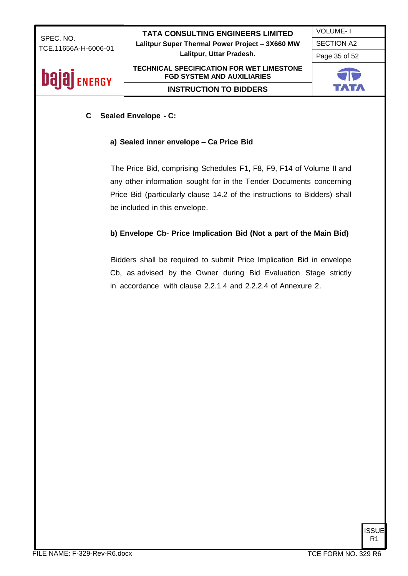VOLUME- I SECTION A2

Page 35 of 52

### **bajaj** ENERGY

#### **TECHNICAL SPECIFICATION FOR WET LIMESTONE FGD SYSTEM AND AUXILIARIES INSTRUCTION TO BIDDERS**



#### **C Sealed Envelope - C:**

#### **a) Sealed inner envelope – Ca Price Bid**

The Price Bid, comprising Schedules F1, F8, F9, F14 of Volume II and any other information sought for in the Tender Documents concerning Price Bid (particularly clause 14.2 of the instructions to Bidders) shall be included in this envelope.

#### **b) Envelope Cb- Price Implication Bid (Not a part of the Main Bid)**

Bidders shall be required to submit Price Implication Bid in envelope Cb, as advised by the Owner during Bid Evaluation Stage strictly in accordance with clause 2.2.1.4 and 2.2.2.4 of Annexure 2.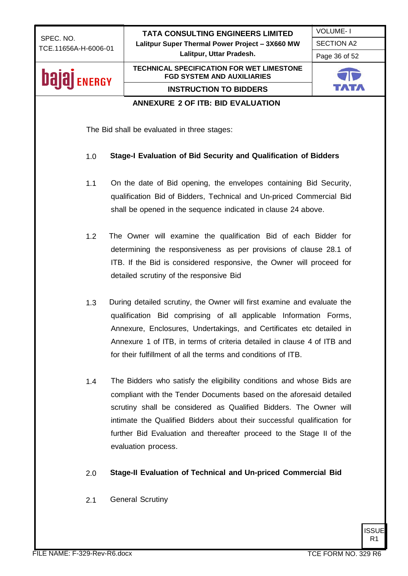| SPEC. NO.              | <b>TATA CONSULTING ENGINEERS LIMITED</b>                                                                                                   | <b>VOLUME-1</b>   |  |
|------------------------|--------------------------------------------------------------------------------------------------------------------------------------------|-------------------|--|
| TCE.11656A-H-6006-01   | Lalitpur Super Thermal Power Project - 3X660 MW<br>Lalitpur, Uttar Pradesh.                                                                | <b>SECTION A2</b> |  |
|                        |                                                                                                                                            | Page 36 of 52     |  |
| balai<br><b>ENERGY</b> | <b>TECHNICAL SPECIFICATION FOR WET LIMESTONE</b><br><b>FGD SYSTEM AND AUXILIARIES</b>                                                      |                   |  |
|                        | <b>INSTRUCTION TO BIDDERS</b>                                                                                                              |                   |  |
|                        | <b>ANNEXURE 2 OF ITB: BID EVALUATION</b>                                                                                                   |                   |  |
|                        |                                                                                                                                            |                   |  |
|                        | The Bid shall be evaluated in three stages:                                                                                                |                   |  |
| 1.0                    | Stage-I Evaluation of Bid Security and Qualification of Bidders                                                                            |                   |  |
| 1.1                    | On the date of Bid opening, the envelopes containing Bid Security,                                                                         |                   |  |
|                        | qualification Bid of Bidders, Technical and Un-priced Commercial Bid                                                                       |                   |  |
|                        | shall be opened in the sequence indicated in clause 24 above.                                                                              |                   |  |
| 1.2                    | The Owner will examine the qualification Bid of each Bidder for                                                                            |                   |  |
|                        |                                                                                                                                            |                   |  |
|                        | determining the responsiveness as per provisions of clause 28.1 of<br>ITB. If the Bid is considered responsive, the Owner will proceed for |                   |  |
|                        | detailed scrutiny of the responsive Bid                                                                                                    |                   |  |
|                        |                                                                                                                                            |                   |  |
| 1.3                    | During detailed scrutiny, the Owner will first examine and evaluate the                                                                    |                   |  |
|                        | qualification Bid comprising of all applicable Information Forms,                                                                          |                   |  |
|                        | Annexure, Enclosures, Undertakings, and Certificates etc detailed in                                                                       |                   |  |
|                        | Annexure 1 of ITB, in terms of criteria detailed in clause 4 of ITB and                                                                    |                   |  |
|                        | for their fulfillment of all the terms and conditions of ITB.                                                                              |                   |  |
| 1.4                    | The Bidders who satisfy the eligibility conditions and whose Bids are                                                                      |                   |  |
|                        | compliant with the Tender Documents based on the aforesaid detailed                                                                        |                   |  |
|                        | scrutiny shall be considered as Qualified Bidders. The Owner will                                                                          |                   |  |
|                        | intimate the Qualified Bidders about their successful qualification for                                                                    |                   |  |
|                        | further Bid Evaluation and thereafter proceed to the Stage II of the                                                                       |                   |  |
|                        | evaluation process.                                                                                                                        |                   |  |
| 2.0                    | Stage-II Evaluation of Technical and Un-priced Commercial Bid                                                                              |                   |  |
| 2.1                    | <b>General Scrutiny</b>                                                                                                                    |                   |  |
|                        |                                                                                                                                            |                   |  |
|                        |                                                                                                                                            |                   |  |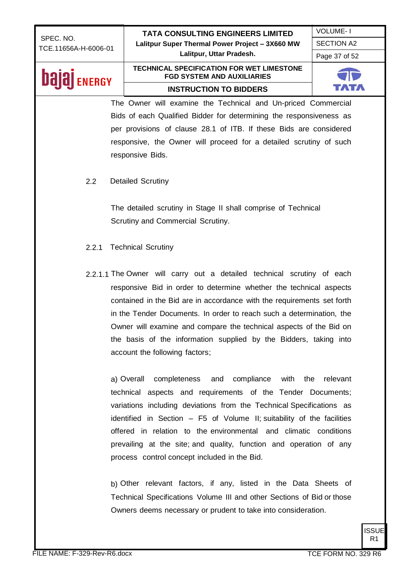| SPEC. NO.            | <b>TATA CONSULTING ENGINEERS LIMITED</b>                                                                                                                                                                                                                                                                                                                                                                                                                                    | <b>VOLUME-1</b>   |
|----------------------|-----------------------------------------------------------------------------------------------------------------------------------------------------------------------------------------------------------------------------------------------------------------------------------------------------------------------------------------------------------------------------------------------------------------------------------------------------------------------------|-------------------|
| TCE.11656A-H-6006-01 | Lalitpur Super Thermal Power Project - 3X660 MW                                                                                                                                                                                                                                                                                                                                                                                                                             | <b>SECTION A2</b> |
|                      | Lalitpur, Uttar Pradesh.                                                                                                                                                                                                                                                                                                                                                                                                                                                    | Page 37 of 52     |
| Dal<br><b>ENERGY</b> | <b>TECHNICAL SPECIFICATION FOR WET LIMESTONE</b><br><b>FGD SYSTEM AND AUXILIARIES</b>                                                                                                                                                                                                                                                                                                                                                                                       |                   |
|                      | <b>INSTRUCTION TO BIDDERS</b>                                                                                                                                                                                                                                                                                                                                                                                                                                               |                   |
|                      | The Owner will examine the Technical and Un-priced Commercial                                                                                                                                                                                                                                                                                                                                                                                                               |                   |
|                      | Bids of each Qualified Bidder for determining the responsiveness as                                                                                                                                                                                                                                                                                                                                                                                                         |                   |
|                      | per provisions of clause 28.1 of ITB. If these Bids are considered                                                                                                                                                                                                                                                                                                                                                                                                          |                   |
|                      | responsive, the Owner will proceed for a detailed scrutiny of such                                                                                                                                                                                                                                                                                                                                                                                                          |                   |
|                      | responsive Bids.                                                                                                                                                                                                                                                                                                                                                                                                                                                            |                   |
| 2.2                  | <b>Detailed Scrutiny</b>                                                                                                                                                                                                                                                                                                                                                                                                                                                    |                   |
|                      | The detailed scrutiny in Stage II shall comprise of Technical<br>Scrutiny and Commercial Scrutiny.                                                                                                                                                                                                                                                                                                                                                                          |                   |
| 2.2.1                | <b>Technical Scrutiny</b>                                                                                                                                                                                                                                                                                                                                                                                                                                                   |                   |
|                      | 2.2.1.1 The Owner will carry out a detailed technical scrutiny of each<br>responsive Bid in order to determine whether the technical aspects<br>contained in the Bid are in accordance with the requirements set forth<br>in the Tender Documents. In order to reach such a determination, the<br>Owner will examine and compare the technical aspects of the Bid on<br>the basis of the information supplied by the Bidders, taking into<br>account the following factors; |                   |
|                      | a) Overall<br>completeness<br>and compliance<br>with<br>the<br>technical aspects and requirements of the Tender Documents;<br>variations including deviations from the Technical Specifications as<br>identified in Section - F5 of Volume II; suitability of the facilities<br>offered in relation to the environmental and climatic conditions<br>prevailing at the site; and quality, function and operation of any                                                      | relevant          |

b) Other relevant factors, if any, listed in the Data Sheets of Technical Specifications Volume III and other Sections of Bid or those Owners deems necessary or prudent to take into consideration.

process control concept included in the Bid.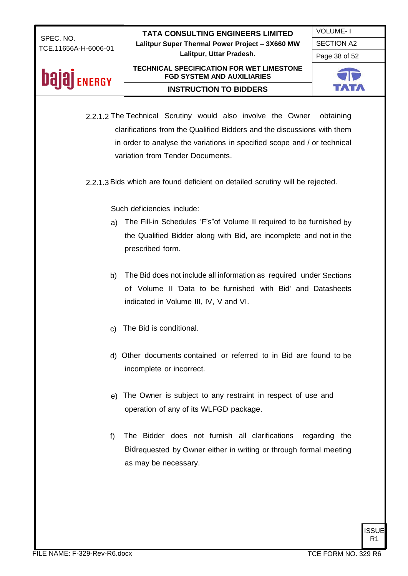VOLUME- I

SECTION A2

Page 38 of 52

### **Dajaj** ENERGY

#### **TECHNICAL SPECIFICATION FOR WET LIMESTONE FGD SYSTEM AND AUXILIARIES INSTRUCTION TO BIDDERS**



- 2.2.1.2 The Technical Scrutiny would also involve the Owner obtaining clarifications from the Qualified Bidders and the discussions with them in order to analyse the variations in specified scope and / or technical variation from Tender Documents.
- 2.2.1.3Bids which are found deficient on detailed scrutiny will be rejected.

Such deficiencies include:

- a) The Fill-in Schedules 'F's"of Volume II required to be furnished by the Qualified Bidder along with Bid, are incomplete and not in the prescribed form.
- b) The Bid does not include all information as required under Sections of Volume II 'Data to be furnished with Bid' and Datasheets indicated in Volume III, IV, V and VI.
- c) The Bid is conditional.
- d) Other documents contained or referred to in Bid are found to be incomplete or incorrect.
- e) The Owner is subject to any restraint in respect of use and operation of any of its WLFGD package.
- f) The Bidder does not furnish all clarifications regarding the Bidrequested by Owner either in writing or through formal meeting as may be necessary.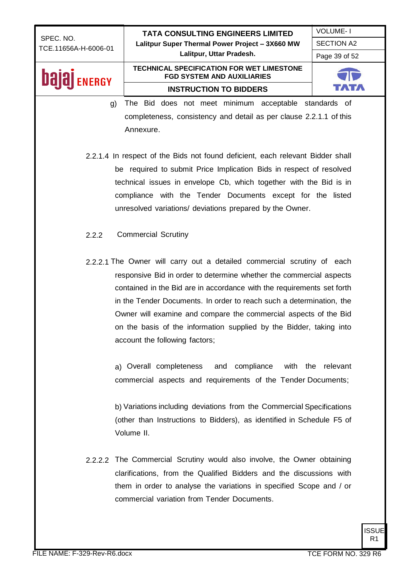|                                   | <b>TATA CONSULTING ENGINEERS LIMITED</b>                                                                                                                                                                                                                                                                                                                                                                                                                                                                                                                                                                                                                                                                                                                   | <b>VOLUME-1</b>   |
|-----------------------------------|------------------------------------------------------------------------------------------------------------------------------------------------------------------------------------------------------------------------------------------------------------------------------------------------------------------------------------------------------------------------------------------------------------------------------------------------------------------------------------------------------------------------------------------------------------------------------------------------------------------------------------------------------------------------------------------------------------------------------------------------------------|-------------------|
| SPEC. NO.<br>TCE.11656A-H-6006-01 | Lalitpur Super Thermal Power Project - 3X660 MW                                                                                                                                                                                                                                                                                                                                                                                                                                                                                                                                                                                                                                                                                                            | <b>SECTION A2</b> |
|                                   | Lalitpur, Uttar Pradesh.                                                                                                                                                                                                                                                                                                                                                                                                                                                                                                                                                                                                                                                                                                                                   | Page 39 of 52     |
| <b>NERGY</b>                      | <b>TECHNICAL SPECIFICATION FOR WET LIMESTONE</b><br><b>FGD SYSTEM AND AUXILIARIES</b>                                                                                                                                                                                                                                                                                                                                                                                                                                                                                                                                                                                                                                                                      |                   |
|                                   | <b>INSTRUCTION TO BIDDERS</b>                                                                                                                                                                                                                                                                                                                                                                                                                                                                                                                                                                                                                                                                                                                              |                   |
| g)                                | The Bid does not meet minimum acceptable standards of                                                                                                                                                                                                                                                                                                                                                                                                                                                                                                                                                                                                                                                                                                      |                   |
|                                   | completeness, consistency and detail as per clause 2.2.1.1 of this                                                                                                                                                                                                                                                                                                                                                                                                                                                                                                                                                                                                                                                                                         |                   |
|                                   | Annexure.                                                                                                                                                                                                                                                                                                                                                                                                                                                                                                                                                                                                                                                                                                                                                  |                   |
|                                   |                                                                                                                                                                                                                                                                                                                                                                                                                                                                                                                                                                                                                                                                                                                                                            |                   |
|                                   | 2.2.1.4 In respect of the Bids not found deficient, each relevant Bidder shall                                                                                                                                                                                                                                                                                                                                                                                                                                                                                                                                                                                                                                                                             |                   |
|                                   | be required to submit Price Implication Bids in respect of resolved                                                                                                                                                                                                                                                                                                                                                                                                                                                                                                                                                                                                                                                                                        |                   |
|                                   | technical issues in envelope Cb, which together with the Bid is in                                                                                                                                                                                                                                                                                                                                                                                                                                                                                                                                                                                                                                                                                         |                   |
|                                   | compliance with the Tender Documents except for the listed                                                                                                                                                                                                                                                                                                                                                                                                                                                                                                                                                                                                                                                                                                 |                   |
|                                   | unresolved variations/ deviations prepared by the Owner.                                                                                                                                                                                                                                                                                                                                                                                                                                                                                                                                                                                                                                                                                                   |                   |
|                                   |                                                                                                                                                                                                                                                                                                                                                                                                                                                                                                                                                                                                                                                                                                                                                            |                   |
| 2.2.2                             | <b>Commercial Scrutiny</b>                                                                                                                                                                                                                                                                                                                                                                                                                                                                                                                                                                                                                                                                                                                                 |                   |
|                                   |                                                                                                                                                                                                                                                                                                                                                                                                                                                                                                                                                                                                                                                                                                                                                            |                   |
|                                   | 2.2.2.1 The Owner will carry out a detailed commercial scrutiny of each<br>responsive Bid in order to determine whether the commercial aspects<br>contained in the Bid are in accordance with the requirements set forth<br>in the Tender Documents. In order to reach such a determination, the<br>Owner will examine and compare the commercial aspects of the Bid<br>on the basis of the information supplied by the Bidder, taking into<br>account the following factors;<br>a) Overall completeness<br>and compliance<br>commercial aspects and requirements of the Tender Documents;<br>b) Variations including deviations from the Commercial Specifications<br>(other than Instructions to Bidders), as identified in Schedule F5 of<br>Volume II. | with the relevant |
|                                   | 2.2.2.2 The Commercial Scrutiny would also involve, the Owner obtaining<br>clarifications, from the Qualified Bidders and the discussions with<br>them in order to analyse the variations in specified Scope and / or<br>commercial variation from Tender Documents.                                                                                                                                                                                                                                                                                                                                                                                                                                                                                       |                   |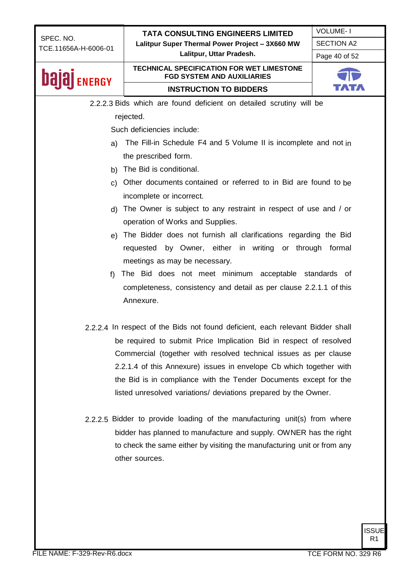

R1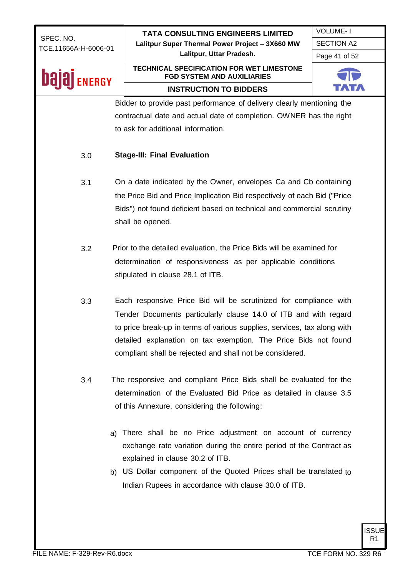|                                   | <b>TATA CONSULTING ENGINEERS LIMITED</b>                                              |                                  |              |  |
|-----------------------------------|---------------------------------------------------------------------------------------|----------------------------------|--------------|--|
| SPEC. NO.<br>TCE.11656A-H-6006-01 | Lalitpur Super Thermal Power Project - 3X660 MW                                       | <b>SECTION A2</b>                |              |  |
|                                   | Lalitpur, Uttar Pradesh.                                                              | <b>VOLUME-1</b><br>Page 41 of 52 |              |  |
| <b>ENERGY</b>                     | <b>TECHNICAL SPECIFICATION FOR WET LIMESTONE</b><br><b>FGD SYSTEM AND AUXILIARIES</b> |                                  |              |  |
|                                   | <b>INSTRUCTION TO BIDDERS</b>                                                         |                                  |              |  |
|                                   | Bidder to provide past performance of delivery clearly mentioning the                 |                                  |              |  |
|                                   | contractual date and actual date of completion. OWNER has the right                   |                                  |              |  |
|                                   | to ask for additional information.                                                    |                                  |              |  |
| 3.0                               | <b>Stage-III: Final Evaluation</b>                                                    |                                  |              |  |
| 3.1                               | On a date indicated by the Owner, envelopes Ca and Cb containing                      |                                  |              |  |
|                                   | the Price Bid and Price Implication Bid respectively of each Bid ("Price              |                                  |              |  |
|                                   | Bids") not found deficient based on technical and commercial scrutiny                 |                                  |              |  |
|                                   | shall be opened.                                                                      |                                  |              |  |
|                                   |                                                                                       |                                  |              |  |
| 3.2                               | Prior to the detailed evaluation, the Price Bids will be examined for                 |                                  |              |  |
|                                   | determination of responsiveness as per applicable conditions                          |                                  |              |  |
|                                   | stipulated in clause 28.1 of ITB.                                                     |                                  |              |  |
|                                   |                                                                                       |                                  |              |  |
| 3.3                               | Each responsive Price Bid will be scrutinized for compliance with                     |                                  |              |  |
|                                   | Tender Documents particularly clause 14.0 of ITB and with regard                      |                                  |              |  |
|                                   | to price break-up in terms of various supplies, services, tax along with              |                                  |              |  |
|                                   | detailed explanation on tax exemption. The Price Bids not found                       |                                  |              |  |
|                                   | compliant shall be rejected and shall not be considered.                              |                                  |              |  |
|                                   |                                                                                       |                                  |              |  |
| 3.4                               | The responsive and compliant Price Bids shall be evaluated for the                    |                                  |              |  |
|                                   | determination of the Evaluated Bid Price as detailed in clause 3.5                    |                                  |              |  |
|                                   | of this Annexure, considering the following:                                          |                                  |              |  |
|                                   |                                                                                       |                                  |              |  |
| a)                                | There shall be no Price adjustment on account of currency                             |                                  |              |  |
|                                   | exchange rate variation during the entire period of the Contract as                   |                                  |              |  |
|                                   | explained in clause 30.2 of ITB.                                                      |                                  |              |  |
|                                   | b) US Dollar component of the Quoted Prices shall be translated to                    |                                  |              |  |
|                                   | Indian Rupees in accordance with clause 30.0 of ITB.                                  |                                  |              |  |
|                                   |                                                                                       |                                  |              |  |
|                                   |                                                                                       |                                  |              |  |
|                                   |                                                                                       |                                  |              |  |
|                                   |                                                                                       |                                  | <b>ISSUE</b> |  |

R1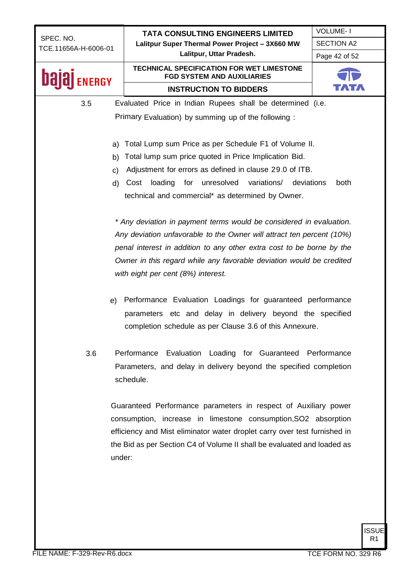|                                   | <b>TATA CONSULTING ENGINEERS LIMITED</b>                                              | <b>VOLUME-1</b>   |
|-----------------------------------|---------------------------------------------------------------------------------------|-------------------|
| SPEC. NO.<br>TCE.11656A-H-6006-01 | Lalitpur Super Thermal Power Project - 3X660 MW                                       | <b>SECTION A2</b> |
|                                   | Lalitpur, Uttar Pradesh.                                                              | Page 42 of 52     |
| <b>NERGY</b>                      | <b>TECHNICAL SPECIFICATION FOR WET LIMESTONE</b><br><b>FGD SYSTEM AND AUXILIARIES</b> |                   |
|                                   | <b>INSTRUCTION TO BIDDERS</b>                                                         |                   |
| 3.5                               | Evaluated Price in Indian Rupees shall be determined (i.e.                            |                   |
|                                   | Primary Evaluation) by summing up of the following:                                   |                   |
|                                   |                                                                                       |                   |
| a)                                | Total Lump sum Price as per Schedule F1 of Volume II.                                 |                   |
| b)                                | Total lump sum price quoted in Price Implication Bid.                                 |                   |
| C)                                | Adjustment for errors as defined in clause 29.0 of ITB.                               |                   |
| d)                                | variations/<br>loading<br>unresolved<br>deviations<br>Cost<br>for                     | both              |
|                                   | technical and commercial* as determined by Owner.                                     |                   |
|                                   |                                                                                       |                   |
|                                   | * Any deviation in payment terms would be considered in evaluation.                   |                   |
|                                   | Any deviation unfavorable to the Owner will attract ten percent (10%)                 |                   |
|                                   | penal interest in addition to any other extra cost to be borne by the                 |                   |
|                                   | Owner in this regard while any favorable deviation would be credited                  |                   |
|                                   | with eight per cent (8%) interest.                                                    |                   |
|                                   |                                                                                       |                   |
| e)                                | Performance Evaluation Loadings for guaranteed performance                            |                   |
|                                   | parameters etc and delay in delivery beyond the specified                             |                   |
|                                   | completion schedule as per Clause 3.6 of this Annexure.                               |                   |
|                                   |                                                                                       |                   |
| 3.6                               | Performance Evaluation Loading for Guaranteed Performance                             |                   |
|                                   | Parameters, and delay in delivery beyond the specified completion                     |                   |
|                                   | schedule.                                                                             |                   |
|                                   |                                                                                       |                   |
|                                   | Guaranteed Performance parameters in respect of Auxiliary power                       |                   |
|                                   | consumption, increase in limestone consumption, SO2 absorption                        |                   |
|                                   | efficiency and Mist eliminator water droplet carry over test furnished in             |                   |
|                                   | the Bid as per Section C4 of Volume II shall be evaluated and loaded as               |                   |
| under:                            |                                                                                       |                   |
|                                   |                                                                                       |                   |
|                                   |                                                                                       |                   |
|                                   |                                                                                       |                   |
|                                   |                                                                                       |                   |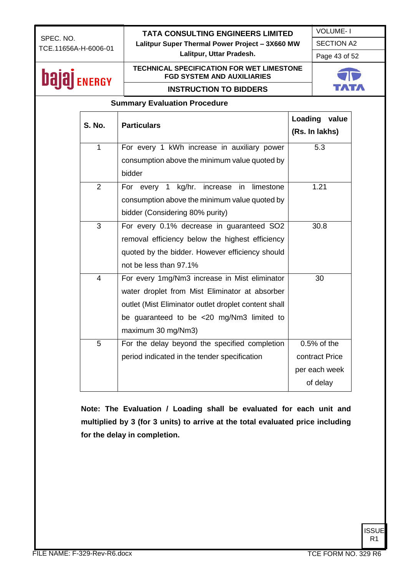#### **TATA CONSULTING ENGINEERS LIMITED**

**Lalitpur Super Thermal Power Project – 3X660 MW**

SECTION A2

#### **Lalitpur, Uttar Pradesh.**

Page 43 of 52

VOLUME- I

| <b>ENERGY</b> |                | <b>TECHNICAL SPECIFICATION FOR WET LIMESTONE</b><br><b>FGD SYSTEM AND AUXILIARIES</b> |  |                  |
|---------------|----------------|---------------------------------------------------------------------------------------|--|------------------|
|               |                | <b>INSTRUCTION TO BIDDERS</b>                                                         |  |                  |
|               |                | <b>Summary Evaluation Procedure</b>                                                   |  |                  |
|               |                |                                                                                       |  | Loading<br>value |
| <b>S. No.</b> |                | <b>Particulars</b>                                                                    |  | (Rs. In lakhs)   |
|               | $\mathbf{1}$   | For every 1 kWh increase in auxiliary power                                           |  | 5.3              |
|               |                | consumption above the minimum value quoted by                                         |  |                  |
|               |                | bidder                                                                                |  |                  |
|               | $\overline{2}$ | kg/hr.<br>For every 1<br>increase in<br>limestone                                     |  | 1.21             |
|               |                | consumption above the minimum value quoted by                                         |  |                  |
|               |                | bidder (Considering 80% purity)                                                       |  |                  |
|               | 3              | For every 0.1% decrease in guaranteed SO2                                             |  | 30.8             |
|               |                | removal efficiency below the highest efficiency                                       |  |                  |
|               |                | quoted by the bidder. However efficiency should                                       |  |                  |
|               |                | not be less than 97.1%                                                                |  |                  |
|               | $\overline{4}$ | For every 1mg/Nm3 increase in Mist eliminator                                         |  | 30               |
|               |                | water droplet from Mist Eliminator at absorber                                        |  |                  |
|               |                | outlet (Mist Eliminator outlet droplet content shall                                  |  |                  |
|               |                | be guaranteed to be <20 mg/Nm3 limited to                                             |  |                  |
|               |                | maximum 30 mg/Nm3)                                                                    |  |                  |
|               | 5              | For the delay beyond the specified completion                                         |  | $0.5%$ of the    |
|               |                | period indicated in the tender specification                                          |  | contract Price   |
|               |                |                                                                                       |  | per each week    |
|               |                |                                                                                       |  | of delay         |

**Note: The Evaluation / Loading shall be evaluated for each unit and multiplied by 3 (for 3 units) to arrive at the total evaluated price including for the delay in completion.**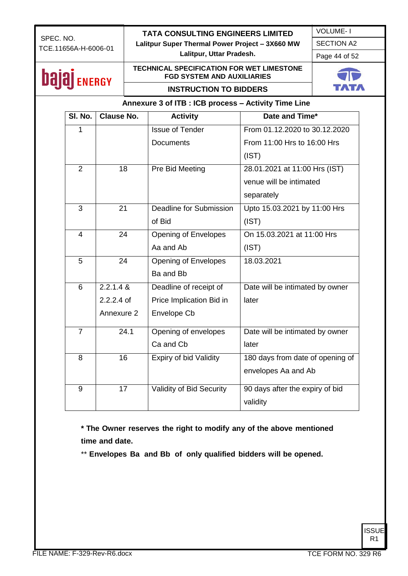SECTION A2

**Lalitpur, Uttar Pradesh.**

Page 44 of 52

VOLUME- I

### **bajaj** ENERGY

#### **TECHNICAL SPECIFICATION FOR WET LIMESTONE FGD SYSTEM AND AUXILIARIES INSTRUCTION TO BIDDERS**



**Annexure 3 of ITB : ICB process – Activity Time Line**

| SI. No.        | <b>Clause No.</b> | <b>Activity</b>             | Date and Time*                   |
|----------------|-------------------|-----------------------------|----------------------------------|
| 1              |                   | <b>Issue of Tender</b>      | From 01.12.2020 to 30.12.2020    |
|                |                   | <b>Documents</b>            | From 11:00 Hrs to 16:00 Hrs      |
|                |                   |                             | (IST)                            |
| $\overline{2}$ | 18                | Pre Bid Meeting             | 28.01.2021 at 11:00 Hrs (IST)    |
|                |                   |                             | venue will be intimated          |
|                |                   |                             | separately                       |
| 3              | 21                | Deadline for Submission     | Upto 15.03.2021 by 11:00 Hrs     |
|                |                   | of Bid                      | (IST)                            |
| 4              | 24                | <b>Opening of Envelopes</b> | On 15.03.2021 at 11:00 Hrs       |
|                |                   | Aa and Ab                   | (IST)                            |
| 5              | 24                | <b>Opening of Envelopes</b> | 18.03.2021                       |
|                |                   | Ba and Bb                   |                                  |
| 6              | 2.2.1.4 &         | Deadline of receipt of      | Date will be intimated by owner  |
|                | $2.2.2.4$ of      | Price Implication Bid in    | later                            |
|                | Annexure 2        | Envelope Cb                 |                                  |
| $\overline{7}$ | 24.1              | Opening of envelopes        | Date will be intimated by owner  |
|                |                   | Ca and Cb                   | later                            |
| 8              | 16                | Expiry of bid Validity      | 180 days from date of opening of |
|                |                   |                             | envelopes Aa and Ab              |
| 9              | 17                | Validity of Bid Security    | 90 days after the expiry of bid  |
|                |                   |                             | validity                         |

**\* The Owner reserves the right to modify any of the above mentioned time and date.**

\*\* **Envelopes Ba and Bb of only qualified bidders will be opened.**

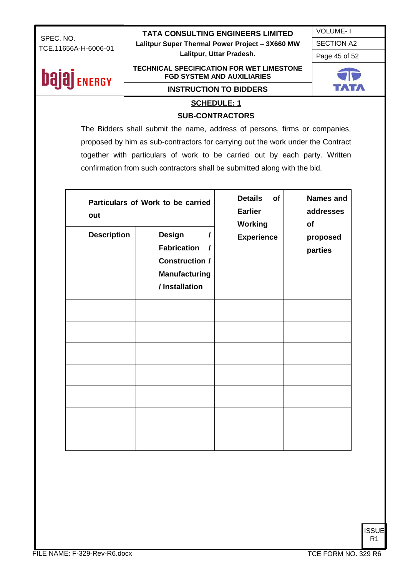VOLUME- I SECTION A2

**Lalitpur, Uttar Pradesh.**

Page 45 of 52

### **bajaj** ENERGY

#### **TECHNICAL SPECIFICATION FOR WET LIMESTONE FGD SYSTEM AND AUXILIARIES**



### **INSTRUCTION TO BIDDERS**

#### **SCHEDULE: 1**

#### **SUB-CONTRACTORS**

The Bidders shall submit the name, address of persons, firms or companies, proposed by him as sub-contractors for carrying out the work under the Contract together with particulars of work to be carried out by each party. Written confirmation from such contractors shall be submitted along with the bid.

| out                | Particulars of Work to be carried                                                                           | <b>Details</b><br>of<br><b>Earlier</b><br><b>Working</b> | Names and<br>addresses<br>of |
|--------------------|-------------------------------------------------------------------------------------------------------------|----------------------------------------------------------|------------------------------|
| <b>Description</b> | <b>Design</b><br><b>Fabrication</b><br>I<br><b>Construction /</b><br><b>Manufacturing</b><br>/ Installation | <b>Experience</b>                                        | proposed<br>parties          |
|                    |                                                                                                             |                                                          |                              |
|                    |                                                                                                             |                                                          |                              |
|                    |                                                                                                             |                                                          |                              |
|                    |                                                                                                             |                                                          |                              |
|                    |                                                                                                             |                                                          |                              |
|                    |                                                                                                             |                                                          |                              |
|                    |                                                                                                             |                                                          |                              |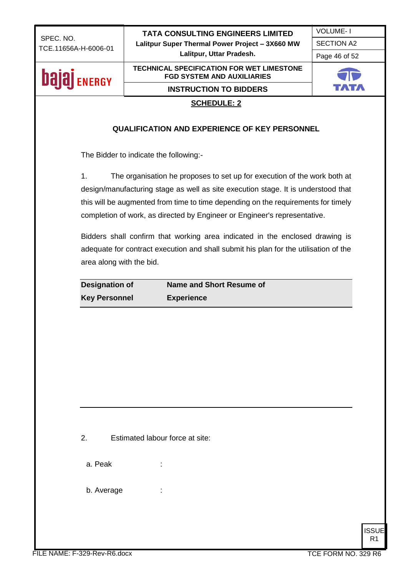VOLUME- I

SECTION A2

**Lalitpur, Uttar Pradesh.**

Page 46 of 52

# **bajaj** ENERGY

#### **FGD SYSTEM AND AUXILIARIES INSTRUCTION TO BIDDERS**

**TECHNICAL SPECIFICATION FOR WET LIMESTONE** 



#### **SCHEDULE: 2**

#### **QUALIFICATION AND EXPERIENCE OF KEY PERSONNEL**

The Bidder to indicate the following:-

1. The organisation he proposes to set up for execution of the work both at design/manufacturing stage as well as site execution stage. It is understood that this will be augmented from time to time depending on the requirements for timely completion of work, as directed by Engineer or Engineer's representative.

Bidders shall confirm that working area indicated in the enclosed drawing is adequate for contract execution and shall submit his plan for the utilisation of the area along with the bid.

| <b>Designation of</b> | Name and Short Resume of |
|-----------------------|--------------------------|
| <b>Key Personnel</b>  | <b>Experience</b>        |

a. Peak in the set of the set of the set of the set of the set of the set of the set of the set of the set of the set of the set of the set of the set of the set of the set of the set of the set of the set of the set of th

b. Average :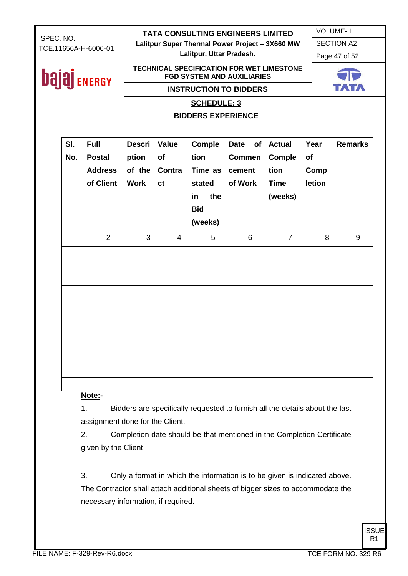| SPEC. NO. |                                                                                                              |                      |                          |                |                           | <b>TATA CONSULTING ENGINEERS LIMITED</b>        |                |               | <b>VOLUME-1</b>   |
|-----------|--------------------------------------------------------------------------------------------------------------|----------------------|--------------------------|----------------|---------------------------|-------------------------------------------------|----------------|---------------|-------------------|
|           |                                                                                                              | TCE.11656A-H-6006-01 |                          |                |                           | Lalitpur Super Thermal Power Project - 3X660 MW |                |               | <b>SECTION A2</b> |
|           |                                                                                                              |                      | Lalitpur, Uttar Pradesh. |                |                           |                                                 |                | Page 47 of 52 |                   |
|           | <b>TECHNICAL SPECIFICATION FOR WET LIMESTONE</b><br><b>bajaj</b> ENERGY<br><b>FGD SYSTEM AND AUXILIARIES</b> |                      |                          |                |                           |                                                 |                |               |                   |
|           |                                                                                                              |                      |                          |                |                           | <b>INSTRUCTION TO BIDDERS</b>                   |                |               |                   |
|           |                                                                                                              |                      |                          |                |                           |                                                 |                |               |                   |
|           |                                                                                                              |                      |                          |                | <b>SCHEDULE: 3</b>        |                                                 |                |               |                   |
|           |                                                                                                              |                      |                          |                | <b>BIDDERS EXPERIENCE</b> |                                                 |                |               |                   |
|           | SI.                                                                                                          | <b>Full</b>          | <b>Descri</b>            | Value          | Comple                    | <b>Date</b><br>of                               | <b>Actual</b>  | Year          | <b>Remarks</b>    |
|           | No.                                                                                                          | <b>Postal</b>        | ption                    | <b>of</b>      | tion                      | <b>Commen</b>                                   | <b>Comple</b>  | of            |                   |
|           |                                                                                                              | <b>Address</b>       | of the                   | Contra         | Time as                   | cement                                          | tion           | Comp          |                   |
|           |                                                                                                              | of Client            | <b>Work</b>              | ct             | stated                    | of Work                                         | <b>Time</b>    | letion        |                   |
|           |                                                                                                              |                      |                          |                | the<br>in                 |                                                 | (weeks)        |               |                   |
|           |                                                                                                              |                      |                          |                | <b>Bid</b>                |                                                 |                |               |                   |
|           |                                                                                                              |                      |                          |                | (weeks)                   |                                                 |                |               |                   |
|           |                                                                                                              | $\overline{2}$       | 3                        | $\overline{4}$ | 5                         | 6                                               | $\overline{7}$ | 8             | 9                 |
|           |                                                                                                              |                      |                          |                |                           |                                                 |                |               |                   |
|           |                                                                                                              |                      |                          |                |                           |                                                 |                |               |                   |
|           |                                                                                                              |                      |                          |                |                           |                                                 |                |               |                   |
|           |                                                                                                              |                      |                          |                |                           |                                                 |                |               |                   |
|           |                                                                                                              |                      |                          |                |                           |                                                 |                |               |                   |
|           |                                                                                                              |                      |                          |                |                           |                                                 |                |               |                   |
|           |                                                                                                              |                      |                          |                |                           |                                                 |                |               |                   |
|           |                                                                                                              |                      |                          |                |                           |                                                 |                |               |                   |
|           |                                                                                                              |                      |                          |                |                           |                                                 |                |               |                   |
|           |                                                                                                              |                      |                          |                |                           |                                                 |                |               |                   |
|           |                                                                                                              |                      |                          |                |                           |                                                 |                |               |                   |
|           |                                                                                                              |                      |                          |                |                           |                                                 |                |               |                   |
|           |                                                                                                              | Note -               |                          |                |                           |                                                 |                |               |                   |

**Note:-**

1. Bidders are specifically requested to furnish all the details about the last assignment done for the Client.

2. Completion date should be that mentioned in the Completion Certificate given by the Client.

3. Only a format in which the information is to be given is indicated above. The Contractor shall attach additional sheets of bigger sizes to accommodate the necessary information, if required.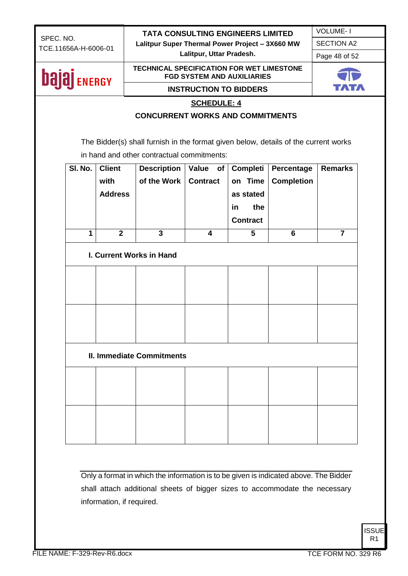VOLUME- I SECTION A2

**Lalitpur, Uttar Pradesh.**

Page 48 of 52

### **bajaj** ENERGY

#### **TECHNICAL SPECIFICATION FOR WET LIMESTONE FGD SYSTEM AND AUXILIARIES INSTRUCTION TO BIDDERS**



#### **SCHEDULE: 4**

#### **CONCURRENT WORKS AND COMMITMENTS**

The Bidder(s) shall furnish in the format given below, details of the current works in hand and other contractual commitments:

| SI. No.      | <b>Client</b><br>with<br><b>Address</b> | <b>Description</b><br>of the Work | Value of<br><b>Contract</b> | Completi<br>on Time<br>as stated<br>the<br>in<br><b>Contract</b> | Percentage<br><b>Completion</b> | <b>Remarks</b> |
|--------------|-----------------------------------------|-----------------------------------|-----------------------------|------------------------------------------------------------------|---------------------------------|----------------|
| $\mathbf{1}$ | $\overline{\mathbf{2}}$                 | $\overline{3}$                    | $\overline{\mathbf{4}}$     | $\overline{5}$                                                   | 6                               | $\overline{7}$ |
|              |                                         | I. Current Works in Hand          |                             |                                                                  |                                 |                |
|              |                                         |                                   |                             |                                                                  |                                 |                |
|              |                                         |                                   |                             |                                                                  |                                 |                |
|              |                                         | <b>II. Immediate Commitments</b>  |                             |                                                                  |                                 |                |
|              |                                         |                                   |                             |                                                                  |                                 |                |
|              |                                         |                                   |                             |                                                                  |                                 |                |

Only a format in which the information is to be given is indicated above. The Bidder shall attach additional sheets of bigger sizes to accommodate the necessary information, if required.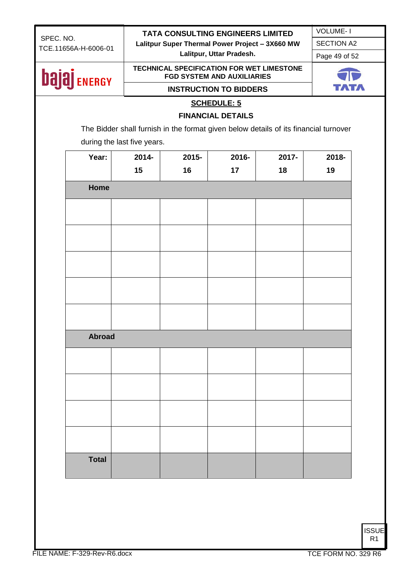VOLUME- I SECTION A2

**Lalitpur, Uttar Pradesh.**

Page 49 of 52

### **bajaj** ENERGY

#### **TECHNICAL SPECIFICATION FOR WET LIMESTONE FGD SYSTEM AND AUXILIARIES INSTRUCTION TO BIDDERS**



#### **SCHEDULE: 5**

#### **FINANCIAL DETAILS**

The Bidder shall furnish in the format given below details of its financial turnover during the last five years.

| Year:         | 2014- | 2015- | 2016- | 2017- | 2018- |  |  |  |
|---------------|-------|-------|-------|-------|-------|--|--|--|
|               | 15    | 16    | 17    | 18    | 19    |  |  |  |
| Home          |       |       |       |       |       |  |  |  |
|               |       |       |       |       |       |  |  |  |
|               |       |       |       |       |       |  |  |  |
|               |       |       |       |       |       |  |  |  |
|               |       |       |       |       |       |  |  |  |
|               |       |       |       |       |       |  |  |  |
|               |       |       |       |       |       |  |  |  |
| <b>Abroad</b> |       |       |       |       |       |  |  |  |
|               |       |       |       |       |       |  |  |  |
|               |       |       |       |       |       |  |  |  |
|               |       |       |       |       |       |  |  |  |
|               |       |       |       |       |       |  |  |  |
| <b>Total</b>  |       |       |       |       |       |  |  |  |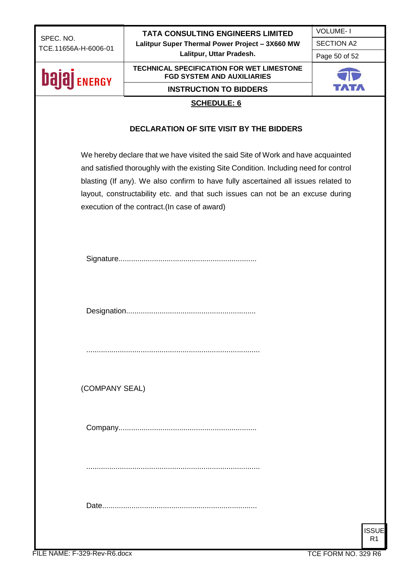**Lalitpur, Uttar Pradesh.**

VOLUME- I SECTION A2

Page 50 of 52

### **bajaj** ENERGY

#### **TECHNICAL SPECIFICATION FOR WET LIMESTONE FGD SYSTEM AND AUXILIARIES**

**INSTRUCTION TO BIDDERS**



#### **SCHEDULE: 6**

#### **DECLARATION OF SITE VISIT BY THE BIDDERS**

We hereby declare that we have visited the said Site of Work and have acquainted and satisfied thoroughly with the existing Site Condition. Including need for control blasting (If any). We also confirm to have fully ascertained all issues related to layout, constructability etc. and that such issues can not be an excuse during execution of the contract.(In case of award)

Designation..............................................................

(COMPANY SEAL)

Company..................................................................

...................................................................................

Date..........................................................................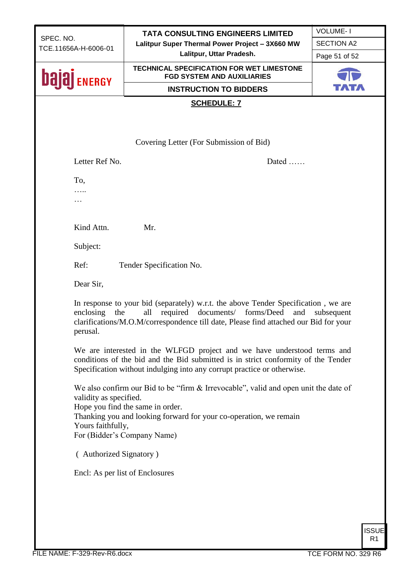| SPEC. NO.<br>TCE.11656A-H-6006-01 |                                             | <b>TATA CONSULTING ENGINEERS LIMITED</b>                                                                                                                                                                                                | <b>VOLUME-1</b>   |  |  |  |
|-----------------------------------|---------------------------------------------|-----------------------------------------------------------------------------------------------------------------------------------------------------------------------------------------------------------------------------------------|-------------------|--|--|--|
|                                   |                                             | Lalitpur Super Thermal Power Project - 3X660 MW                                                                                                                                                                                         | <b>SECTION A2</b> |  |  |  |
|                                   |                                             | Lalitpur, Uttar Pradesh.                                                                                                                                                                                                                | Page 51 of 52     |  |  |  |
| <b>bala</b><br><b>ENERGY</b>      |                                             | <b>TECHNICAL SPECIFICATION FOR WET LIMESTONE</b><br><b>FGD SYSTEM AND AUXILIARIES</b>                                                                                                                                                   |                   |  |  |  |
|                                   |                                             | <b>INSTRUCTION TO BIDDERS</b>                                                                                                                                                                                                           |                   |  |  |  |
|                                   |                                             | <b>SCHEDULE: 7</b>                                                                                                                                                                                                                      |                   |  |  |  |
|                                   |                                             |                                                                                                                                                                                                                                         |                   |  |  |  |
|                                   |                                             |                                                                                                                                                                                                                                         |                   |  |  |  |
|                                   |                                             | Covering Letter (For Submission of Bid)                                                                                                                                                                                                 |                   |  |  |  |
|                                   | Letter Ref No.                              | Dated                                                                                                                                                                                                                                   |                   |  |  |  |
| To,                               |                                             |                                                                                                                                                                                                                                         |                   |  |  |  |
|                                   |                                             |                                                                                                                                                                                                                                         |                   |  |  |  |
| .                                 |                                             |                                                                                                                                                                                                                                         |                   |  |  |  |
|                                   |                                             |                                                                                                                                                                                                                                         |                   |  |  |  |
|                                   | Kind Attn.                                  | Mr.                                                                                                                                                                                                                                     |                   |  |  |  |
|                                   | Subject:                                    |                                                                                                                                                                                                                                         |                   |  |  |  |
| Ref:                              |                                             | Tender Specification No.                                                                                                                                                                                                                |                   |  |  |  |
|                                   | Dear Sir,                                   |                                                                                                                                                                                                                                         |                   |  |  |  |
|                                   | enclosing<br>the<br>perusal.                | In response to your bid (separately) w.r.t. the above Tender Specification, we are<br>all<br>required documents/ forms/Deed<br>and<br>clarifications/M.O.M/correspondence till date, Please find attached our Bid for your              | subsequent        |  |  |  |
|                                   |                                             | We are interested in the WLFGD project and we have understood terms and<br>conditions of the bid and the Bid submitted is in strict conformity of the Tender<br>Specification without indulging into any corrupt practice or otherwise. |                   |  |  |  |
|                                   | validity as specified.<br>Yours faithfully, | We also confirm our Bid to be "firm & Irrevocable", valid and open unit the date of<br>Hope you find the same in order.<br>Thanking you and looking forward for your co-operation, we remain<br>For (Bidder's Company Name)             |                   |  |  |  |
|                                   | (Authorized Signatory)                      |                                                                                                                                                                                                                                         |                   |  |  |  |
|                                   | Encl: As per list of Enclosures             |                                                                                                                                                                                                                                         |                   |  |  |  |
|                                   |                                             |                                                                                                                                                                                                                                         |                   |  |  |  |
|                                   |                                             |                                                                                                                                                                                                                                         |                   |  |  |  |
|                                   |                                             |                                                                                                                                                                                                                                         |                   |  |  |  |